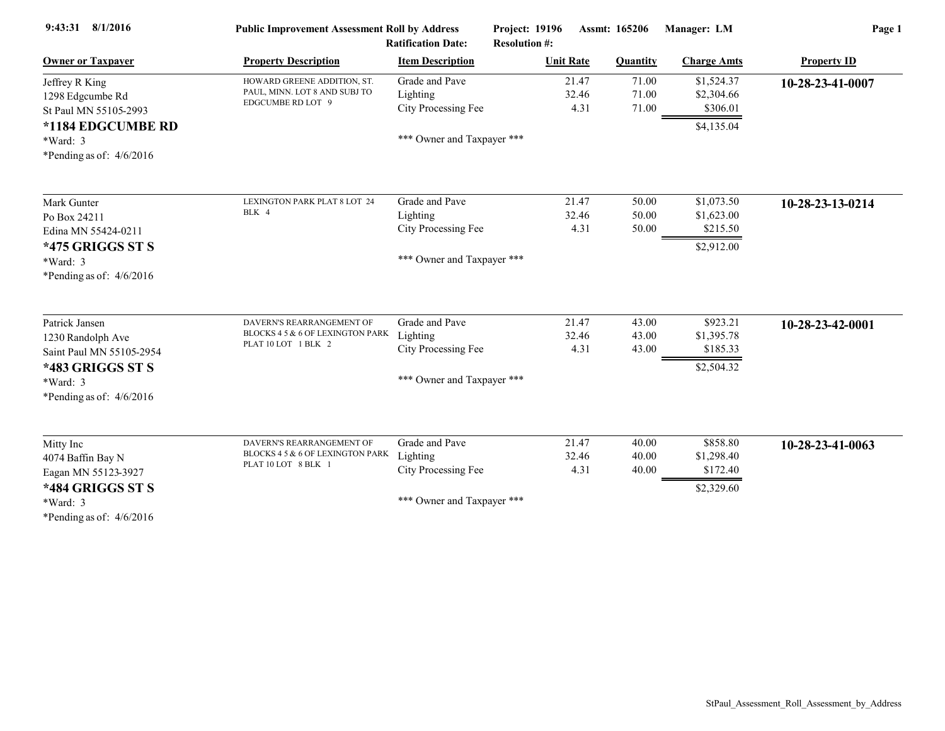| 9:43:31 8/1/2016           | <b>Public Improvement Assessment Roll by Address</b><br><b>Ratification Date:</b> |                            | Assmt: 165206<br><b>Project: 19196</b><br><b>Resolution #:</b> |                 | Manager: LM        | Page 1             |  |
|----------------------------|-----------------------------------------------------------------------------------|----------------------------|----------------------------------------------------------------|-----------------|--------------------|--------------------|--|
| <b>Owner or Taxpayer</b>   | <b>Property Description</b>                                                       | <b>Item Description</b>    | <b>Unit Rate</b>                                               | <b>Quantity</b> | <b>Charge Amts</b> | <b>Property ID</b> |  |
| Jeffrey R King             | HOWARD GREENE ADDITION, ST.                                                       | Grade and Pave             | 21.47                                                          | 71.00           | \$1,524.37         | 10-28-23-41-0007   |  |
| 1298 Edgcumbe Rd           | PAUL, MINN. LOT 8 AND SUBJ TO                                                     | Lighting                   | 32.46                                                          | 71.00           | \$2,304.66         |                    |  |
| St Paul MN 55105-2993      | EDGCUMBE RD LOT 9                                                                 | City Processing Fee        | 4.31                                                           | 71.00           | \$306.01           |                    |  |
| *1184 EDGCUMBE RD          |                                                                                   |                            |                                                                |                 | \$4,135.04         |                    |  |
| $*Ward: 3$                 |                                                                                   | *** Owner and Taxpayer *** |                                                                |                 |                    |                    |  |
| *Pending as of: $4/6/2016$ |                                                                                   |                            |                                                                |                 |                    |                    |  |
| Mark Gunter                | LEXINGTON PARK PLAT 8 LOT 24                                                      | Grade and Pave             | 21.47                                                          | 50.00           | \$1,073.50         | 10-28-23-13-0214   |  |
| Po Box 24211               | BLK 4                                                                             | Lighting                   | 32.46                                                          | 50.00           | \$1,623.00         |                    |  |
| Edina MN 55424-0211        |                                                                                   | City Processing Fee        | 4.31                                                           | 50.00           | \$215.50           |                    |  |
| *475 GRIGGS ST S           |                                                                                   |                            |                                                                |                 | \$2,912.00         |                    |  |
| $*Ward: 3$                 |                                                                                   | *** Owner and Taxpayer *** |                                                                |                 |                    |                    |  |
| *Pending as of: $4/6/2016$ |                                                                                   |                            |                                                                |                 |                    |                    |  |
| Patrick Jansen             | DAVERN'S REARRANGEMENT OF                                                         | Grade and Pave             | 21.47                                                          | 43.00           | \$923.21           | 10-28-23-42-0001   |  |
| 1230 Randolph Ave          | BLOCKS 4 5 & 6 OF LEXINGTON PARK                                                  | Lighting                   | 32.46                                                          | 43.00           | \$1,395.78         |                    |  |
| Saint Paul MN 55105-2954   | PLAT 10 LOT 1 BLK 2                                                               | City Processing Fee        | 4.31                                                           | 43.00           | \$185.33           |                    |  |
| *483 GRIGGS ST S           |                                                                                   |                            |                                                                |                 | \$2,504.32         |                    |  |
| *Ward: 3                   |                                                                                   | *** Owner and Taxpayer *** |                                                                |                 |                    |                    |  |
| *Pending as of: $4/6/2016$ |                                                                                   |                            |                                                                |                 |                    |                    |  |
| Mitty Inc                  | DAVERN'S REARRANGEMENT OF                                                         | Grade and Pave             | 21.47                                                          | 40.00           | \$858.80           | 10-28-23-41-0063   |  |
| 4074 Baffin Bay N          | BLOCKS 4 5 & 6 OF LEXINGTON PARK                                                  | Lighting                   | 32.46                                                          | 40.00           | \$1,298.40         |                    |  |
| Eagan MN 55123-3927        | PLAT 10 LOT 8 BLK 1                                                               | City Processing Fee        | 4.31                                                           | 40.00           | \$172.40           |                    |  |
| *484 GRIGGS ST S           |                                                                                   |                            |                                                                |                 | \$2,329.60         |                    |  |
| *Ward: 3                   |                                                                                   | *** Owner and Taxpayer *** |                                                                |                 |                    |                    |  |
| *Pending as of: $4/6/2016$ |                                                                                   |                            |                                                                |                 |                    |                    |  |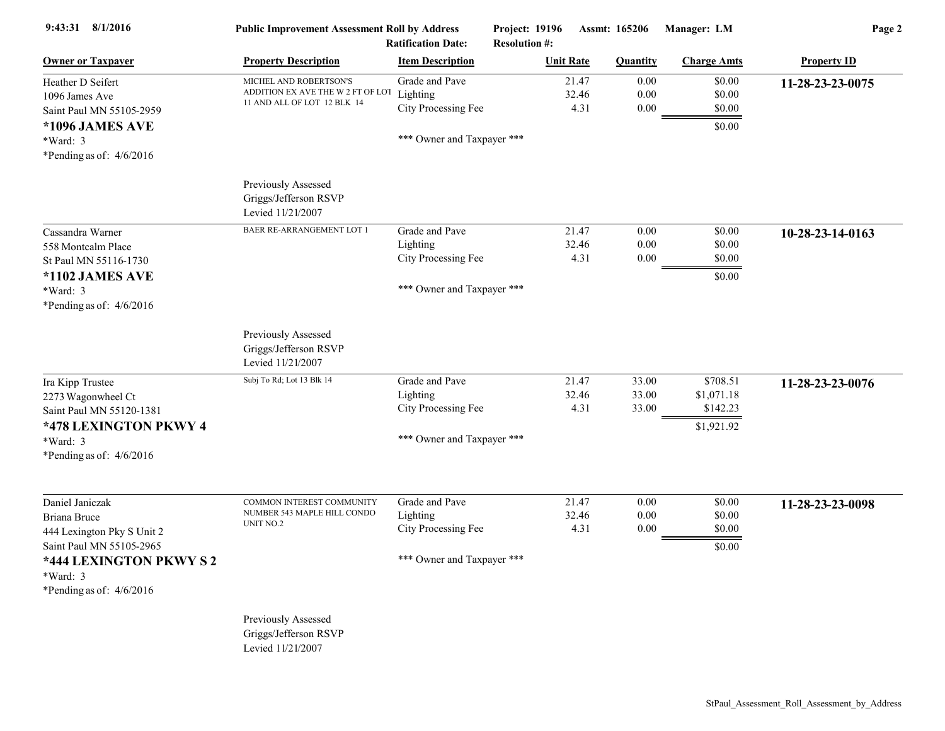| 9:43:31 8/1/2016                                                    | <b>Public Improvement Assessment Roll by Address</b>                                       | <b>Ratification Date:</b>                         | Project: 19196<br><b>Resolution #:</b> |                        | <b>Assmt: 165206</b> | Manager: LM                | Page 2             |
|---------------------------------------------------------------------|--------------------------------------------------------------------------------------------|---------------------------------------------------|----------------------------------------|------------------------|----------------------|----------------------------|--------------------|
| <b>Owner or Taxpayer</b>                                            | <b>Property Description</b>                                                                | <b>Item Description</b>                           | <b>Unit Rate</b>                       |                        | <b>Quantity</b>      | <b>Charge Amts</b>         | <b>Property ID</b> |
| Heather D Seifert<br>1096 James Ave<br>Saint Paul MN 55105-2959     | MICHEL AND ROBERTSON'S<br>ADDITION EX AVE THE W 2 FT OF LOT<br>11 AND ALL OF LOT 12 BLK 14 | Grade and Pave<br>Lighting<br>City Processing Fee |                                        | 21.47<br>32.46<br>4.31 | 0.00<br>0.00<br>0.00 | \$0.00<br>\$0.00<br>\$0.00 | 11-28-23-23-0075   |
| *1096 JAMES AVE<br>$*Ward: 3$<br>*Pending as of: $4/6/2016$         |                                                                                            | *** Owner and Taxpayer ***                        |                                        |                        |                      | \$0.00                     |                    |
|                                                                     | Previously Assessed<br>Griggs/Jefferson RSVP<br>Levied 11/21/2007                          |                                                   |                                        |                        |                      |                            |                    |
| Cassandra Warner                                                    | <b>BAER RE-ARRANGEMENT LOT 1</b>                                                           | Grade and Pave                                    |                                        | 21.47                  | 0.00                 | \$0.00                     | 10-28-23-14-0163   |
| 558 Montcalm Place                                                  |                                                                                            | Lighting                                          |                                        | 32.46                  | 0.00                 | \$0.00                     |                    |
| St Paul MN 55116-1730                                               |                                                                                            | City Processing Fee                               |                                        | 4.31                   | $0.00\,$             | \$0.00                     |                    |
| *1102 JAMES AVE<br>$*Ward: 3$<br>*Pending as of: $4/6/2016$         |                                                                                            | *** Owner and Taxpayer ***                        |                                        |                        |                      | \$0.00                     |                    |
|                                                                     | Previously Assessed<br>Griggs/Jefferson RSVP<br>Levied 11/21/2007                          |                                                   |                                        |                        |                      |                            |                    |
| Ira Kipp Trustee                                                    | Subj To Rd; Lot 13 Blk 14                                                                  | Grade and Pave                                    |                                        | 21.47                  | 33.00                | \$708.51                   | 11-28-23-23-0076   |
| 2273 Wagonwheel Ct                                                  |                                                                                            | Lighting                                          |                                        | 32.46                  | 33.00                | \$1,071.18                 |                    |
| Saint Paul MN 55120-1381                                            |                                                                                            | City Processing Fee                               |                                        | 4.31                   | 33.00                | \$142.23                   |                    |
| *478 LEXINGTON PKWY 4<br>*Ward: 3<br>*Pending as of: $4/6/2016$     |                                                                                            | *** Owner and Taxpayer ***                        |                                        |                        |                      | \$1,921.92                 |                    |
| Daniel Janiczak                                                     | COMMON INTEREST COMMUNITY<br>NUMBER 543 MAPLE HILL CONDO                                   | Grade and Pave<br>Lighting                        |                                        | 21.47<br>32.46         | 0.00<br>0.00         | \$0.00<br>\$0.00           | 11-28-23-23-0098   |
| <b>Briana Bruce</b><br>444 Lexington Pky S Unit 2                   | $\,$ UNIT NO.2 $\,$                                                                        | City Processing Fee                               |                                        | 4.31                   | $0.00\,$             | \$0.00                     |                    |
| Saint Paul MN 55105-2965                                            |                                                                                            | *** Owner and Taxpayer ***                        |                                        |                        |                      | \$0.00                     |                    |
| *444 LEXINGTON PKWY S 2<br>$*Ward: 3$<br>*Pending as of: $4/6/2016$ |                                                                                            |                                                   |                                        |                        |                      |                            |                    |
|                                                                     | Previously Assessed<br>Griggs/Jefferson RSVP                                               |                                                   |                                        |                        |                      |                            |                    |

Levied 11/21/2007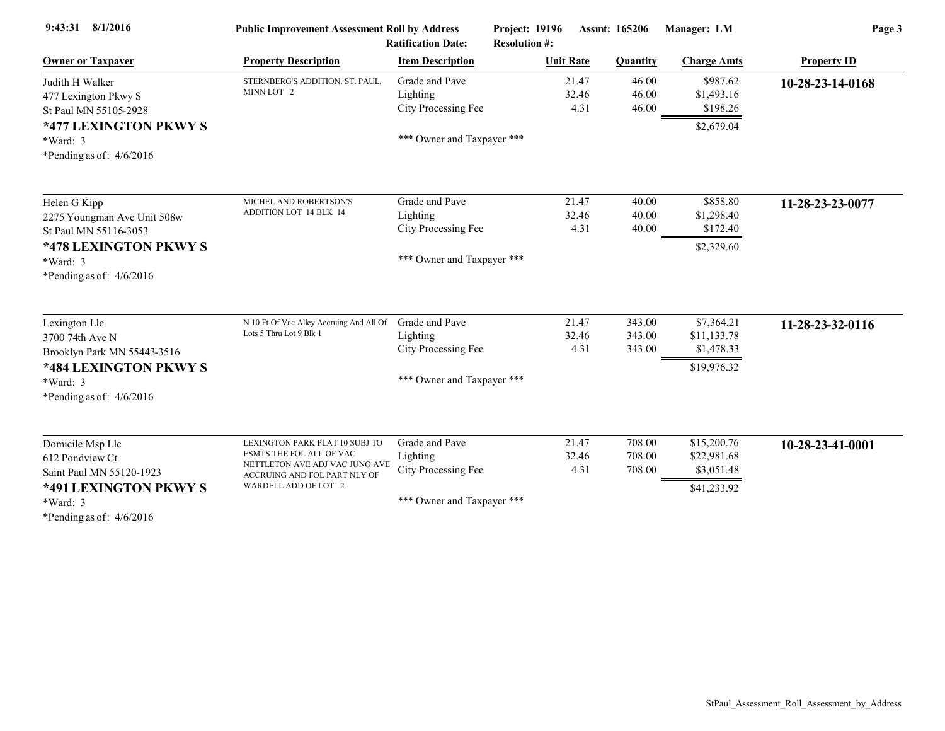| 9:43:31 8/1/2016            | <b>Public Improvement Assessment Roll by Address</b><br><b>Ratification Date:</b> |                            | <b>Project: 19196</b><br><b>Resolution #:</b> | Assmt: 165206   | Manager: LM        | Page 3             |  |
|-----------------------------|-----------------------------------------------------------------------------------|----------------------------|-----------------------------------------------|-----------------|--------------------|--------------------|--|
| <b>Owner or Taxpayer</b>    | <b>Property Description</b>                                                       | <b>Item Description</b>    | <b>Unit Rate</b>                              | <b>Quantity</b> | <b>Charge Amts</b> | <b>Property ID</b> |  |
| Judith H Walker             | STERNBERG'S ADDITION, ST. PAUL,                                                   | Grade and Pave             | 21.47                                         | 46.00           | \$987.62           | 10-28-23-14-0168   |  |
| 477 Lexington Pkwy S        | MINN LOT 2                                                                        | Lighting                   | 32.46                                         | 46.00           | \$1,493.16         |                    |  |
| St Paul MN 55105-2928       |                                                                                   | City Processing Fee        | 4.31                                          | 46.00           | \$198.26           |                    |  |
| *477 LEXINGTON PKWY S       |                                                                                   |                            |                                               |                 | \$2,679.04         |                    |  |
| $*Ward: 3$                  |                                                                                   | *** Owner and Taxpayer *** |                                               |                 |                    |                    |  |
| *Pending as of: $4/6/2016$  |                                                                                   |                            |                                               |                 |                    |                    |  |
| Helen G Kipp                | MICHEL AND ROBERTSON'S                                                            | Grade and Pave             | 21.47                                         | 40.00           | \$858.80           | 11-28-23-23-0077   |  |
| 2275 Youngman Ave Unit 508w | <b>ADDITION LOT 14 BLK 14</b>                                                     | Lighting                   | 32.46                                         | 40.00           | \$1,298.40         |                    |  |
| St Paul MN 55116-3053       |                                                                                   | City Processing Fee        | 4.31                                          | 40.00           | \$172.40           |                    |  |
| *478 LEXINGTON PKWY S       |                                                                                   |                            |                                               |                 | \$2,329.60         |                    |  |
| $*Ward: 3$                  |                                                                                   | *** Owner and Taxpayer *** |                                               |                 |                    |                    |  |
| *Pending as of: $4/6/2016$  |                                                                                   |                            |                                               |                 |                    |                    |  |
| Lexington Llc               | N 10 Ft Of Vac Alley Accruing And All Of                                          | Grade and Pave             | 21.47                                         | 343.00          | \$7,364.21         | 11-28-23-32-0116   |  |
| 3700 74th Ave N             | Lots 5 Thru Lot 9 Blk 1                                                           | Lighting                   | 32.46                                         | 343.00          | \$11,133.78        |                    |  |
| Brooklyn Park MN 55443-3516 |                                                                                   | City Processing Fee        | 4.31                                          | 343.00          | \$1,478.33         |                    |  |
| *484 LEXINGTON PKWY S       |                                                                                   |                            |                                               |                 | \$19,976.32        |                    |  |
| *Ward: 3                    |                                                                                   | *** Owner and Taxpayer *** |                                               |                 |                    |                    |  |
| *Pending as of: $4/6/2016$  |                                                                                   |                            |                                               |                 |                    |                    |  |
| Domicile Msp Llc            | LEXINGTON PARK PLAT 10 SUBJ TO                                                    | Grade and Pave             | 21.47                                         | 708.00          | \$15,200.76        | 10-28-23-41-0001   |  |
| 612 Pondview Ct             | ESMTS THE FOL ALL OF VAC                                                          | Lighting                   | 32.46                                         | 708.00          | \$22,981.68        |                    |  |
| Saint Paul MN 55120-1923    | NETTLETON AVE ADJ VAC JUNO AVE<br>ACCRUING AND FOL PART NLY OF                    | City Processing Fee        | 4.31                                          | 708.00          | \$3,051.48         |                    |  |
| *491 LEXINGTON PKWY S       | WARDELL ADD OF LOT 2                                                              |                            |                                               |                 | \$41,233.92        |                    |  |
| $*Ward: 3$                  |                                                                                   | *** Owner and Taxpayer *** |                                               |                 |                    |                    |  |
| *Pending as of: $4/6/2016$  |                                                                                   |                            |                                               |                 |                    |                    |  |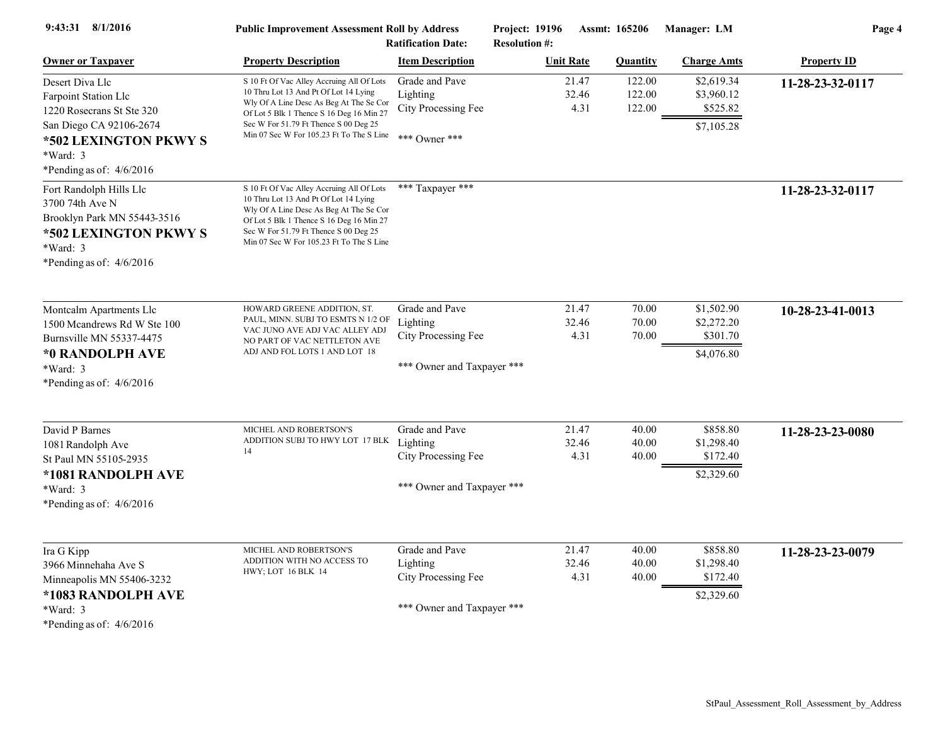| 9:43:31 8/1/2016                                                                                                                                                          | <b>Public Improvement Assessment Roll by Address</b><br><b>Ratification Date:</b>                                                                                                                                                                                            |                                                                                 | <b>Project: 19196</b><br><b>Assmt: 165206</b><br><b>Resolution #:</b> |                        | Manager: LM                | Page 4                                             |                    |
|---------------------------------------------------------------------------------------------------------------------------------------------------------------------------|------------------------------------------------------------------------------------------------------------------------------------------------------------------------------------------------------------------------------------------------------------------------------|---------------------------------------------------------------------------------|-----------------------------------------------------------------------|------------------------|----------------------------|----------------------------------------------------|--------------------|
| <b>Owner or Taxpayer</b>                                                                                                                                                  | <b>Property Description</b>                                                                                                                                                                                                                                                  | <b>Item Description</b>                                                         |                                                                       | <b>Unit Rate</b>       | <b>Quantity</b>            | <b>Charge Amts</b>                                 | <b>Property ID</b> |
| Desert Diva Llc<br><b>Farpoint Station Llc</b><br>1220 Rosecrans St Ste 320<br>San Diego CA 92106-2674<br>*502 LEXINGTON PKWY S<br>*Ward: 3<br>*Pending as of: $4/6/2016$ | S 10 Ft Of Vac Alley Accruing All Of Lots<br>10 Thru Lot 13 And Pt Of Lot 14 Lying<br>Wly Of A Line Desc As Beg At The Se Cor<br>Of Lot 5 Blk 1 Thence S 16 Deg 16 Min 27<br>Sec W For 51.79 Ft Thence S 00 Deg 25<br>Min 07 Sec W For 105.23 Ft To The S Line *** Owner *** | Grade and Pave<br>Lighting<br>City Processing Fee                               |                                                                       | 21.47<br>32.46<br>4.31 | 122.00<br>122.00<br>122.00 | \$2,619.34<br>\$3,960.12<br>\$525.82<br>\$7,105.28 | 11-28-23-32-0117   |
| Fort Randolph Hills Llc<br>3700 74th Ave N<br>Brooklyn Park MN 55443-3516<br>*502 LEXINGTON PKWY S<br>$*Ward: 3$<br>*Pending as of: $4/6/2016$                            | S 10 Ft Of Vac Alley Accruing All Of Lots<br>10 Thru Lot 13 And Pt Of Lot 14 Lying<br>Wly Of A Line Desc As Beg At The Se Cor<br>Of Lot 5 Blk 1 Thence S 16 Deg 16 Min 27<br>Sec W For 51.79 Ft Thence S 00 Deg 25<br>Min 07 Sec W For 105.23 Ft To The S Line               | *** Taxpayer ***                                                                |                                                                       |                        |                            |                                                    | 11-28-23-32-0117   |
| Montcalm Apartments Llc<br>1500 Mcandrews Rd W Ste 100<br>Burnsville MN 55337-4475<br>*0 RANDOLPH AVE<br>*Ward: 3<br>*Pending as of: $4/6/2016$                           | HOWARD GREENE ADDITION, ST.<br>PAUL, MINN. SUBJ TO ESMTS N 1/2 OF<br>VAC JUNO AVE ADJ VAC ALLEY ADJ<br>NO PART OF VAC NETTLETON AVE<br>ADJ AND FOL LOTS 1 AND LOT 18                                                                                                         | Grade and Pave<br>Lighting<br>City Processing Fee<br>*** Owner and Taxpayer *** |                                                                       | 21.47<br>32.46<br>4.31 | 70.00<br>70.00<br>70.00    | \$1,502.90<br>\$2,272.20<br>\$301.70<br>\$4,076.80 | 10-28-23-41-0013   |
| David P Barnes<br>1081 Randolph Ave<br>St Paul MN 55105-2935<br>*1081 RANDOLPH AVE<br>*Ward: 3<br>*Pending as of: $4/6/2016$                                              | MICHEL AND ROBERTSON'S<br>ADDITION SUBJ TO HWY LOT 17 BLK<br>14                                                                                                                                                                                                              | Grade and Pave<br>Lighting<br>City Processing Fee<br>*** Owner and Taxpayer *** |                                                                       | 21.47<br>32.46<br>4.31 | 40.00<br>40.00<br>40.00    | \$858.80<br>\$1,298.40<br>\$172.40<br>\$2,329.60   | 11-28-23-23-0080   |
| Ira G Kipp<br>3966 Minnehaha Ave S<br>Minneapolis MN 55406-3232<br>*1083 RANDOLPH AVE<br>*Ward: 3<br>*Pending as of: $4/6/2016$                                           | MICHEL AND ROBERTSON'S<br>ADDITION WITH NO ACCESS TO<br>HWY; LOT 16 BLK 14                                                                                                                                                                                                   | Grade and Pave<br>Lighting<br>City Processing Fee<br>*** Owner and Taxpayer *** |                                                                       | 21.47<br>32.46<br>4.31 | 40.00<br>40.00<br>40.00    | \$858.80<br>\$1,298.40<br>\$172.40<br>\$2,329.60   | 11-28-23-23-0079   |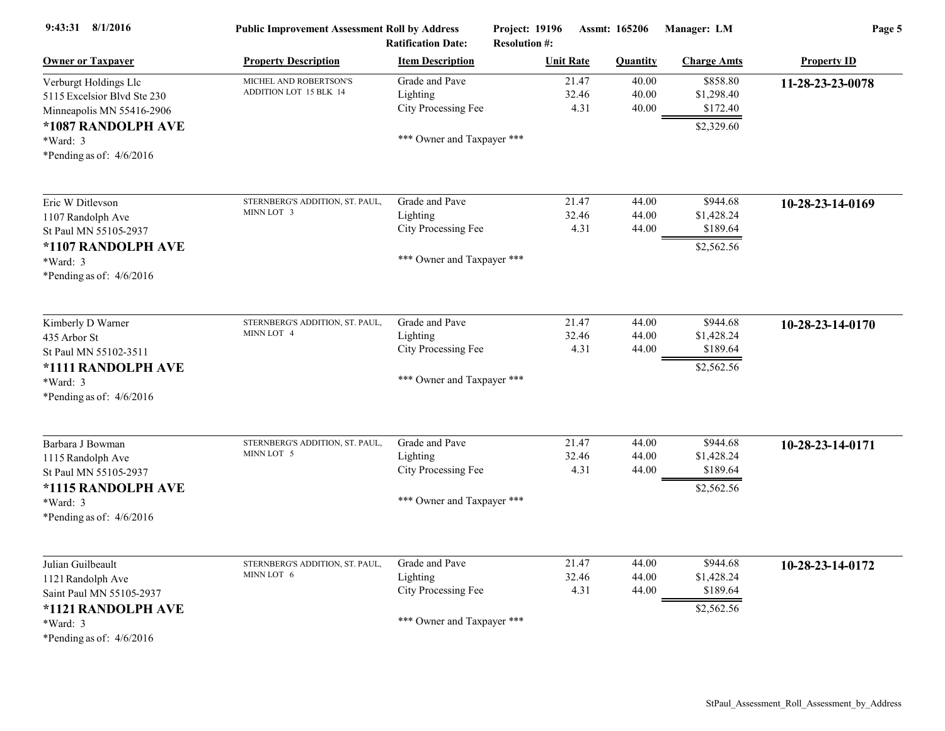| 9:43:31 8/1/2016                                                                                                                     | <b>Public Improvement Assessment Roll by Address</b><br><b>Ratification Date:</b> |                                                                                 | Project: 19196<br><b>Resolution #:</b> | Assmt: 165206           | Manager: LM                                      | Page 5             |  |
|--------------------------------------------------------------------------------------------------------------------------------------|-----------------------------------------------------------------------------------|---------------------------------------------------------------------------------|----------------------------------------|-------------------------|--------------------------------------------------|--------------------|--|
| <b>Owner or Taxpayer</b>                                                                                                             | <b>Property Description</b>                                                       | <b>Item Description</b>                                                         | <b>Unit Rate</b>                       | <b>Quantity</b>         | <b>Charge Amts</b>                               | <b>Property ID</b> |  |
| Verburgt Holdings Llc<br>5115 Excelsior Blvd Ste 230<br>Minneapolis MN 55416-2906                                                    | MICHEL AND ROBERTSON'S<br>ADDITION LOT 15 BLK 14                                  | Grade and Pave<br>Lighting<br>City Processing Fee                               | 21.47<br>32.46<br>4.31                 | 40.00<br>40.00<br>40.00 | \$858.80<br>\$1,298.40<br>\$172.40               | 11-28-23-23-0078   |  |
| *1087 RANDOLPH AVE<br>*Ward: 3<br>*Pending as of: $4/6/2016$                                                                         |                                                                                   | *** Owner and Taxpayer ***                                                      |                                        |                         | \$2,329.60                                       |                    |  |
| Eric W Ditlevson<br>1107 Randolph Ave<br>St Paul MN 55105-2937                                                                       | STERNBERG'S ADDITION, ST. PAUL,<br>MINN LOT 3                                     | Grade and Pave<br>Lighting<br>City Processing Fee                               | 21.47<br>32.46<br>4.31                 | 44.00<br>44.00<br>44.00 | \$944.68<br>\$1,428.24<br>\$189.64               | 10-28-23-14-0169   |  |
| *1107 RANDOLPH AVE<br>*Ward: 3<br>*Pending as of: $4/6/2016$                                                                         |                                                                                   | *** Owner and Taxpayer ***                                                      |                                        |                         | \$2,562.56                                       |                    |  |
| Kimberly D Warner<br>435 Arbor St<br>St Paul MN 55102-3511<br>*1111 RANDOLPH AVE<br>*Ward: 3<br>*Pending as of: $4/6/2016$           | STERNBERG'S ADDITION, ST. PAUL,<br>MINN LOT 4                                     | Grade and Pave<br>Lighting<br>City Processing Fee<br>*** Owner and Taxpayer *** | 21.47<br>32.46<br>4.31                 | 44.00<br>44.00<br>44.00 | \$944.68<br>\$1,428.24<br>\$189.64<br>\$2,562.56 | 10-28-23-14-0170   |  |
| Barbara J Bowman<br>1115 Randolph Ave<br>St Paul MN 55105-2937<br>*1115 RANDOLPH AVE<br>*Ward: 3<br>*Pending as of: $4/6/2016$       | STERNBERG'S ADDITION, ST. PAUL,<br>MINN LOT 5                                     | Grade and Pave<br>Lighting<br>City Processing Fee<br>*** Owner and Taxpayer *** | 21.47<br>32.46<br>4.31                 | 44.00<br>44.00<br>44.00 | \$944.68<br>\$1,428.24<br>\$189.64<br>\$2,562.56 | 10-28-23-14-0171   |  |
| Julian Guilbeault<br>1121 Randolph Ave<br>Saint Paul MN 55105-2937<br>*1121 RANDOLPH AVE<br>$*Ward: 3$<br>*Pending as of: $4/6/2016$ | STERNBERG'S ADDITION, ST. PAUL,<br>MINN LOT 6                                     | Grade and Pave<br>Lighting<br>City Processing Fee<br>*** Owner and Taxpayer *** | 21.47<br>32.46<br>4.31                 | 44.00<br>44.00<br>44.00 | \$944.68<br>\$1,428.24<br>\$189.64<br>\$2,562.56 | 10-28-23-14-0172   |  |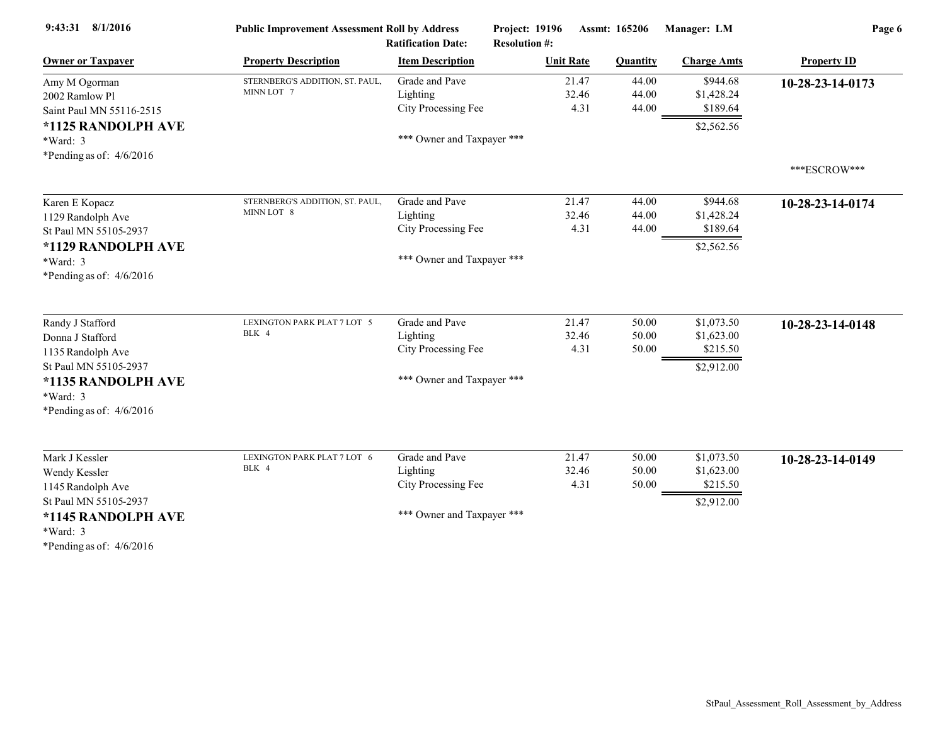| 9:43:31 8/1/2016                                                                                                                                   | <b>Public Improvement Assessment Roll by Address</b><br><b>Ratification Date:</b> |                                                                                 | Project: 19196<br>Assmt: 165206<br><b>Resolution #:</b> |                         | Manager: LM                                        | Page 6             |  |
|----------------------------------------------------------------------------------------------------------------------------------------------------|-----------------------------------------------------------------------------------|---------------------------------------------------------------------------------|---------------------------------------------------------|-------------------------|----------------------------------------------------|--------------------|--|
| <b>Owner or Taxpayer</b>                                                                                                                           | <b>Property Description</b>                                                       | <b>Item Description</b>                                                         | <b>Unit Rate</b>                                        | <b>Quantity</b>         | <b>Charge Amts</b>                                 | <b>Property ID</b> |  |
| Amy M Ogorman<br>2002 Ramlow Pl<br>Saint Paul MN 55116-2515                                                                                        | STERNBERG'S ADDITION, ST. PAUL,<br>MINN LOT 7                                     | Grade and Pave<br>Lighting<br>City Processing Fee                               | 21.47<br>32.46<br>4.31                                  | 44.00<br>44.00<br>44.00 | \$944.68<br>\$1,428.24<br>\$189.64                 | 10-28-23-14-0173   |  |
| *1125 RANDOLPH AVE<br>*Ward: 3<br>*Pending as of: $4/6/2016$                                                                                       |                                                                                   | *** Owner and Taxpayer ***                                                      |                                                         |                         | \$2,562.56                                         |                    |  |
|                                                                                                                                                    |                                                                                   |                                                                                 |                                                         |                         |                                                    | ***ESCROW***       |  |
| Karen E Kopacz<br>1129 Randolph Ave<br>St Paul MN 55105-2937                                                                                       | STERNBERG'S ADDITION, ST. PAUL,<br>MINN LOT 8                                     | Grade and Pave<br>Lighting<br>City Processing Fee                               | 21.47<br>32.46<br>4.31                                  | 44.00<br>44.00<br>44.00 | \$944.68<br>\$1,428.24<br>\$189.64                 | 10-28-23-14-0174   |  |
| *1129 RANDOLPH AVE<br>*Ward: 3<br>*Pending as of: $4/6/2016$                                                                                       |                                                                                   | *** Owner and Taxpayer ***                                                      |                                                         |                         | \$2,562.56                                         |                    |  |
| Randy J Stafford<br>Donna J Stafford<br>1135 Randolph Ave<br>St Paul MN 55105-2937<br>*1135 RANDOLPH AVE<br>*Ward: 3<br>*Pending as of: $4/6/2016$ | LEXINGTON PARK PLAT 7 LOT 5<br>BLK 4                                              | Grade and Pave<br>Lighting<br>City Processing Fee<br>*** Owner and Taxpayer *** | 21.47<br>32.46<br>4.31                                  | 50.00<br>50.00<br>50.00 | \$1,073.50<br>\$1,623.00<br>\$215.50<br>\$2,912.00 | 10-28-23-14-0148   |  |
| Mark J Kessler<br>Wendy Kessler<br>1145 Randolph Ave<br>St Paul MN 55105-2937<br>*1145 RANDOLPH AVE<br>$*Ward: 3$<br>*Pending as of: $4/6/2016$    | LEXINGTON PARK PLAT 7 LOT 6<br>BLK 4                                              | Grade and Pave<br>Lighting<br>City Processing Fee<br>*** Owner and Taxpayer *** | 21.47<br>32.46<br>4.31                                  | 50.00<br>50.00<br>50.00 | \$1,073.50<br>\$1,623.00<br>\$215.50<br>\$2,912.00 | 10-28-23-14-0149   |  |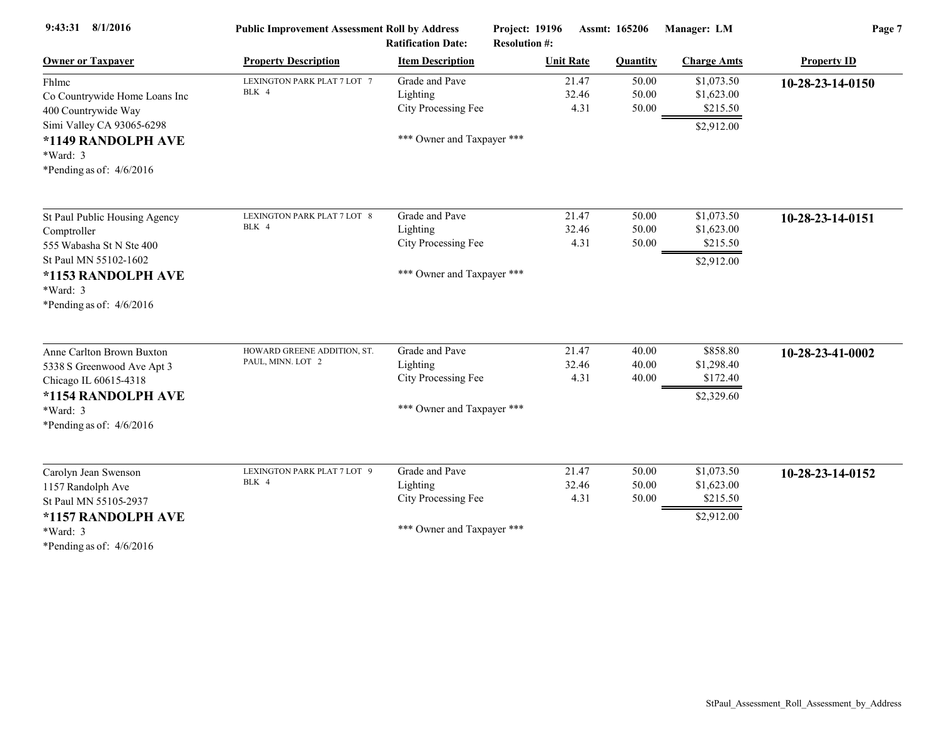| <b>Public Improvement Assessment Roll by Address</b><br><b>Ratification Date:</b> |                                                   |                        |                                                                                                                                                                         |                                                    | Page 7                                                |
|-----------------------------------------------------------------------------------|---------------------------------------------------|------------------------|-------------------------------------------------------------------------------------------------------------------------------------------------------------------------|----------------------------------------------------|-------------------------------------------------------|
| <b>Property Description</b>                                                       | <b>Item Description</b>                           | <b>Unit Rate</b>       | <b>Quantity</b>                                                                                                                                                         | <b>Charge Amts</b>                                 | <b>Property ID</b>                                    |
| LEXINGTON PARK PLAT 7 LOT 7<br>BLK 4                                              | Grade and Pave<br>Lighting<br>City Processing Fee | 21.47<br>32.46<br>4.31 | 50.00<br>50.00<br>50.00                                                                                                                                                 | \$1,073.50<br>\$1,623.00<br>\$215.50<br>\$2,912.00 | 10-28-23-14-0150                                      |
|                                                                                   |                                                   |                        |                                                                                                                                                                         |                                                    |                                                       |
| LEXINGTON PARK PLAT 7 LOT 8<br>BLK 4                                              | Grade and Pave                                    | 21.47                  | 50.00                                                                                                                                                                   | \$1,073.50                                         | 10-28-23-14-0151                                      |
|                                                                                   | City Processing Fee                               | 4.31                   | 50.00                                                                                                                                                                   | \$215.50                                           |                                                       |
|                                                                                   |                                                   |                        |                                                                                                                                                                         |                                                    |                                                       |
| HOWARD GREENE ADDITION, ST.<br>PAUL, MINN. LOT 2                                  | Grade and Pave<br>Lighting<br>City Processing Fee | 21.47<br>32.46<br>4.31 | 40.00<br>40.00<br>40.00                                                                                                                                                 | \$858.80<br>\$1,298.40<br>\$172.40                 | 10-28-23-41-0002                                      |
|                                                                                   |                                                   |                        |                                                                                                                                                                         |                                                    |                                                       |
| LEXINGTON PARK PLAT 7 LOT 9<br>BLK 4                                              | Grade and Pave<br>Lighting                        | 21.47<br>32.46         | 50.00<br>50.00                                                                                                                                                          | \$1,073.50<br>\$1,623.00                           | 10-28-23-14-0152                                      |
|                                                                                   | City Processing Fee                               | 4.31                   | 50.00                                                                                                                                                                   | \$215.50<br>\$2,912.00                             |                                                       |
|                                                                                   |                                                   | Lighting               | Project: 19196<br><b>Resolution #:</b><br>*** Owner and Taxpayer ***<br>32.46<br>*** Owner and Taxpayer ***<br>*** Owner and Taxpayer ***<br>*** Owner and Taxpayer *** | Assmt: 165206<br>50.00                             | Manager: LM<br>\$1,623.00<br>\$2,912.00<br>\$2,329.60 |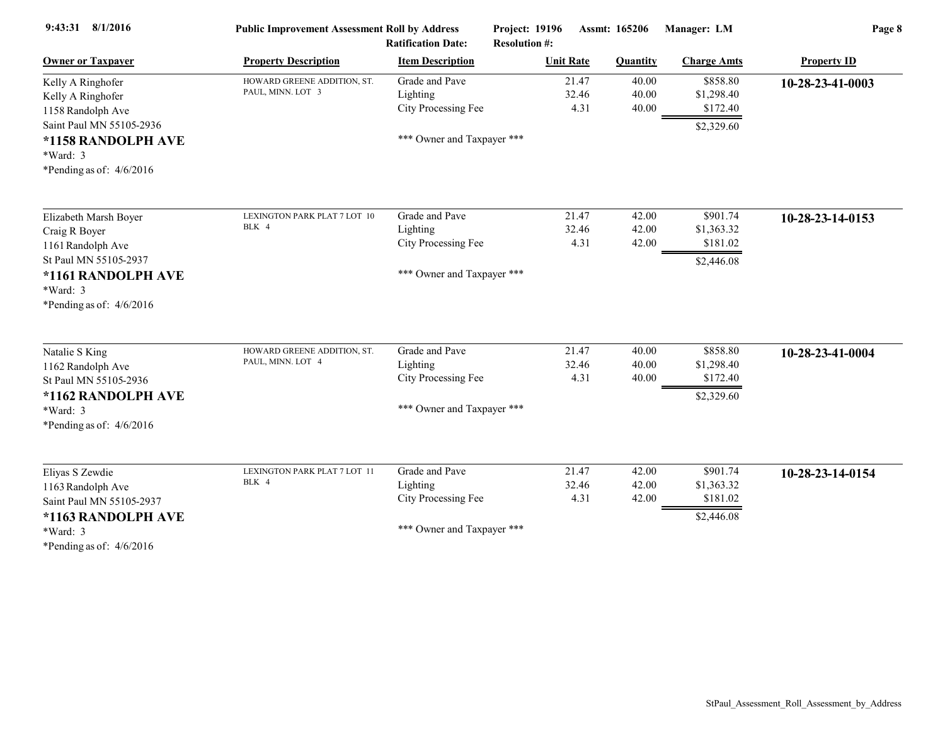| 9:43:31 8/1/2016                                                                                                                 | <b>Public Improvement Assessment Roll by Address</b><br><b>Ratification Date:</b> |                                                                                 | <b>Project: 19196</b><br><b>Resolution #:</b> | <b>Assmt: 165206</b>    | Manager: LM                                      | Page 8             |
|----------------------------------------------------------------------------------------------------------------------------------|-----------------------------------------------------------------------------------|---------------------------------------------------------------------------------|-----------------------------------------------|-------------------------|--------------------------------------------------|--------------------|
| <b>Owner or Taxpayer</b>                                                                                                         | <b>Property Description</b>                                                       | <b>Item Description</b>                                                         | <b>Unit Rate</b>                              | <b>Quantity</b>         | <b>Charge Amts</b>                               | <b>Property ID</b> |
| Kelly A Ringhofer<br>Kelly A Ringhofer<br>1158 Randolph Ave                                                                      | HOWARD GREENE ADDITION, ST.<br>PAUL, MINN. LOT 3                                  | Grade and Pave<br>Lighting<br>City Processing Fee                               | 21.47<br>32.46<br>4.31                        | 40.00<br>40.00<br>40.00 | \$858.80<br>\$1,298.40<br>\$172.40               | 10-28-23-41-0003   |
| Saint Paul MN 55105-2936<br>*1158 RANDOLPH AVE<br>$*Ward: 3$<br>*Pending as of: $4/6/2016$                                       |                                                                                   | *** Owner and Taxpayer ***                                                      |                                               |                         | \$2,329.60                                       |                    |
| Elizabeth Marsh Boyer<br>Craig R Boyer<br>1161 Randolph Ave                                                                      | LEXINGTON PARK PLAT 7 LOT 10<br>BLK 4                                             | Grade and Pave<br>Lighting<br>City Processing Fee                               | 21.47<br>32.46<br>4.31                        | 42.00<br>42.00<br>42.00 | \$901.74<br>\$1,363.32<br>\$181.02               | 10-28-23-14-0153   |
| St Paul MN 55105-2937<br>*1161 RANDOLPH AVE<br>$*Ward: 3$<br>*Pending as of: $4/6/2016$                                          |                                                                                   | *** Owner and Taxpayer ***                                                      |                                               |                         | \$2,446.08                                       |                    |
| Natalie S King<br>1162 Randolph Ave<br>St Paul MN 55105-2936<br>*1162 RANDOLPH AVE<br>*Ward: 3<br>*Pending as of: $4/6/2016$     | HOWARD GREENE ADDITION, ST.<br>PAUL, MINN. LOT 4                                  | Grade and Pave<br>Lighting<br>City Processing Fee<br>*** Owner and Taxpayer *** | 21.47<br>32.46<br>4.31                        | 40.00<br>40.00<br>40.00 | \$858.80<br>\$1,298.40<br>\$172.40<br>\$2,329.60 | 10-28-23-41-0004   |
| Eliyas S Zewdie<br>1163 Randolph Ave<br>Saint Paul MN 55105-2937<br>*1163 RANDOLPH AVE<br>*Ward: 3<br>*Pending as of: $4/6/2016$ | LEXINGTON PARK PLAT 7 LOT 11<br>BLK 4                                             | Grade and Pave<br>Lighting<br>City Processing Fee<br>*** Owner and Taxpayer *** | 21.47<br>32.46<br>4.31                        | 42.00<br>42.00<br>42.00 | \$901.74<br>\$1,363.32<br>\$181.02<br>\$2,446.08 | 10-28-23-14-0154   |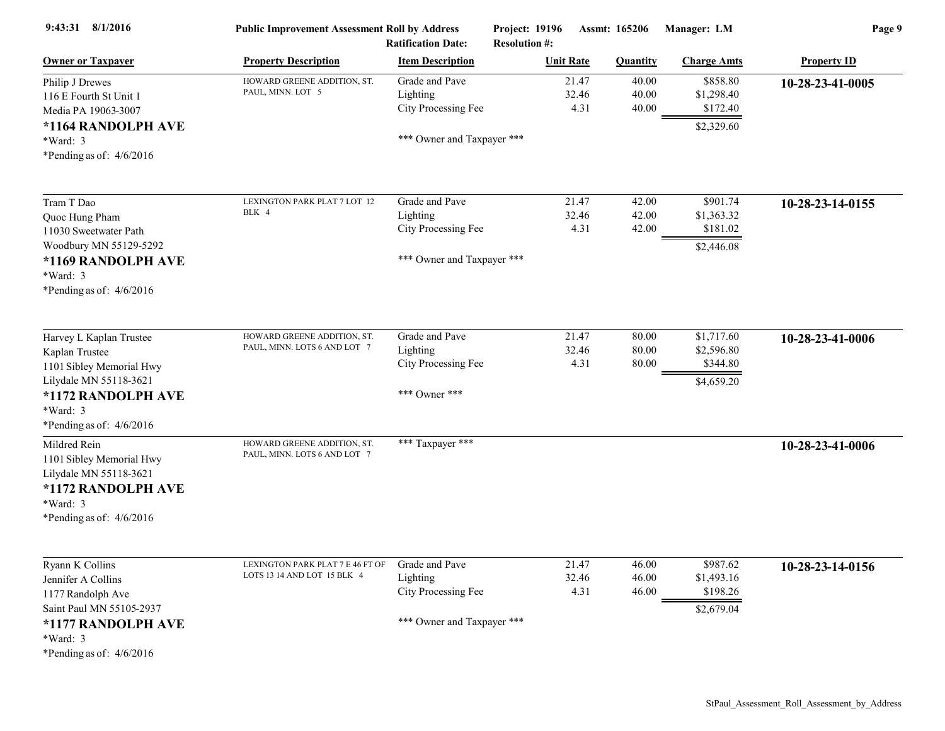| 9:43:31 8/1/2016                                                                                                                                                | <b>Public Improvement Assessment Roll by Address</b><br><b>Ratification Date:</b> |                                                                                 | Project: 19196<br><b>Resolution #:</b> | Assmt: 165206           |                                                    | Page 9             |  |
|-----------------------------------------------------------------------------------------------------------------------------------------------------------------|-----------------------------------------------------------------------------------|---------------------------------------------------------------------------------|----------------------------------------|-------------------------|----------------------------------------------------|--------------------|--|
| <b>Owner or Taxpayer</b>                                                                                                                                        | <b>Property Description</b>                                                       | <b>Item Description</b>                                                         | <b>Unit Rate</b>                       | <b>Quantity</b>         | <b>Charge Amts</b>                                 | <b>Property ID</b> |  |
| Philip J Drewes<br>116 E Fourth St Unit 1<br>Media PA 19063-3007<br>*1164 RANDOLPH AVE<br>*Ward: 3<br>*Pending as of: $4/6/2016$                                | HOWARD GREENE ADDITION, ST.<br>PAUL, MINN. LOT 5                                  | Grade and Pave<br>Lighting<br>City Processing Fee<br>*** Owner and Taxpayer *** | 21.47<br>32.46<br>4.31                 | 40.00<br>40.00<br>40.00 | \$858.80<br>\$1,298.40<br>\$172.40<br>\$2,329.60   | 10-28-23-41-0005   |  |
| Tram T Dao<br>Quoc Hung Pham<br>11030 Sweetwater Path<br>Woodbury MN 55129-5292<br>*1169 RANDOLPH AVE<br>*Ward: 3<br>*Pending as of: $4/6/2016$                 | LEXINGTON PARK PLAT 7 LOT 12<br>BLK 4                                             | Grade and Pave<br>Lighting<br>City Processing Fee<br>*** Owner and Taxpayer *** | 21.47<br>32.46<br>4.31                 | 42.00<br>42.00<br>42.00 | \$901.74<br>\$1,363.32<br>\$181.02<br>\$2,446.08   | 10-28-23-14-0155   |  |
| Harvey L Kaplan Trustee<br>Kaplan Trustee<br>1101 Sibley Memorial Hwy<br>Lilydale MN 55118-3621<br>*1172 RANDOLPH AVE<br>*Ward: 3<br>*Pending as of: $4/6/2016$ | HOWARD GREENE ADDITION, ST.<br>PAUL, MINN. LOTS 6 AND LOT 7                       | Grade and Pave<br>Lighting<br>City Processing Fee<br>*** Owner ***              | 21.47<br>32.46<br>4.31                 | 80.00<br>80.00<br>80.00 | \$1,717.60<br>\$2,596.80<br>\$344.80<br>\$4,659.20 | 10-28-23-41-0006   |  |
| Mildred Rein<br>1101 Sibley Memorial Hwy<br>Lilydale MN 55118-3621<br>*1172 RANDOLPH AVE<br>*Ward: 3<br>*Pending as of: $4/6/2016$                              | HOWARD GREENE ADDITION, ST.<br>PAUL, MINN. LOTS 6 AND LOT 7                       | *** Taxpayer ***                                                                |                                        |                         |                                                    | 10-28-23-41-0006   |  |
| Ryann K Collins<br>Jennifer A Collins<br>1177 Randolph Ave<br>Saint Paul MN 55105-2937<br>*1177 RANDOLPH AVE<br>*Ward: 3<br>*Pending as of: $4/6/2016$          | LEXINGTON PARK PLAT 7 E 46 FT OF<br>LOTS 13 14 AND LOT 15 BLK 4                   | Grade and Pave<br>Lighting<br>City Processing Fee<br>*** Owner and Taxpayer *** | 21.47<br>32.46<br>4.31                 | 46.00<br>46.00<br>46.00 | \$987.62<br>\$1,493.16<br>\$198.26<br>\$2,679.04   | 10-28-23-14-0156   |  |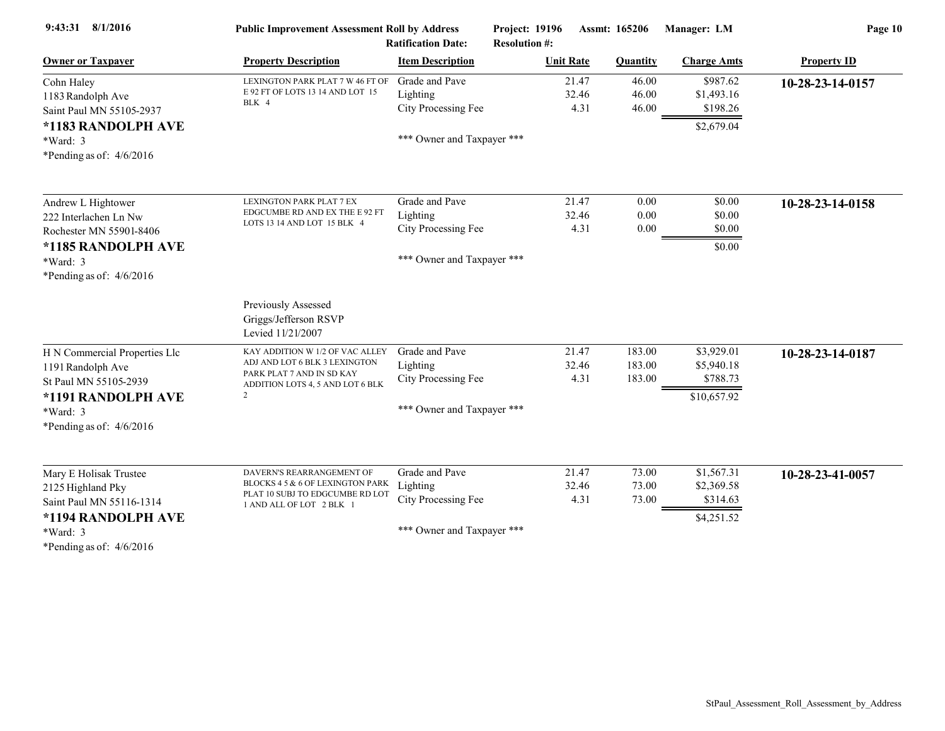| 9:43:31 8/1/2016                                                                                                                            | <b>Public Improvement Assessment Roll by Address</b><br><b>Ratification Date:</b>                                                      |                                                                                 | Project: 19196<br><b>Assmt: 165206</b><br><b>Resolution #:</b> |                            | Manager: LM                                         | Page 10            |  |
|---------------------------------------------------------------------------------------------------------------------------------------------|----------------------------------------------------------------------------------------------------------------------------------------|---------------------------------------------------------------------------------|----------------------------------------------------------------|----------------------------|-----------------------------------------------------|--------------------|--|
| <b>Owner or Taxpayer</b>                                                                                                                    | <b>Property Description</b>                                                                                                            | <b>Item Description</b>                                                         | <b>Unit Rate</b>                                               | <b>Quantity</b>            | <b>Charge Amts</b>                                  | <b>Property ID</b> |  |
| Cohn Haley<br>1183 Randolph Ave<br>Saint Paul MN 55105-2937<br>*1183 RANDOLPH AVE<br>$*Ward: 3$<br>*Pending as of: $4/6/2016$               | LEXINGTON PARK PLAT 7 W 46 FT OF<br>E 92 FT OF LOTS 13 14 AND LOT 15<br>BLK 4                                                          | Grade and Pave<br>Lighting<br>City Processing Fee<br>*** Owner and Taxpayer *** | 21.47<br>32.46<br>4.31                                         | 46.00<br>46.00<br>46.00    | \$987.62<br>\$1,493.16<br>\$198.26<br>\$2,679.04    | 10-28-23-14-0157   |  |
| Andrew L Hightower<br>222 Interlachen Ln Nw<br>Rochester MN 55901-8406<br>*1185 RANDOLPH AVE<br>$*Ward: 3$<br>*Pending as of: $4/6/2016$    | LEXINGTON PARK PLAT 7 EX<br>EDGCUMBE RD AND EX THE E 92 FT<br>LOTS 13 14 AND LOT 15 BLK 4                                              | Grade and Pave<br>Lighting<br>City Processing Fee<br>*** Owner and Taxpayer *** | 21.47<br>32.46<br>4.31                                         | 0.00<br>0.00<br>0.00       | \$0.00<br>\$0.00<br>\$0.00<br>\$0.00                | 10-28-23-14-0158   |  |
|                                                                                                                                             | <b>Previously Assessed</b><br>Griggs/Jefferson RSVP<br>Levied 11/21/2007                                                               |                                                                                 |                                                                |                            |                                                     |                    |  |
| H N Commercial Properties Llc<br>1191 Randolph Ave<br>St Paul MN 55105-2939<br>*1191 RANDOLPH AVE<br>*Ward: 3<br>*Pending as of: $4/6/2016$ | KAY ADDITION W 1/2 OF VAC ALLEY<br>ADJ AND LOT 6 BLK 3 LEXINGTON<br>PARK PLAT 7 AND IN SD KAY<br>ADDITION LOTS 4, 5 AND LOT 6 BLK<br>2 | Grade and Pave<br>Lighting<br>City Processing Fee<br>*** Owner and Taxpayer *** | 21.47<br>32.46<br>4.31                                         | 183.00<br>183.00<br>183.00 | \$3,929.01<br>\$5,940.18<br>\$788.73<br>\$10,657.92 | 10-28-23-14-0187   |  |
| Mary E Holisak Trustee<br>2125 Highland Pky<br>Saint Paul MN 55116-1314<br>*1194 RANDOLPH AVE<br>$*Ward: 3$<br>0.16001                      | DAVERN'S REARRANGEMENT OF<br>BLOCKS 4 5 & 6 OF LEXINGTON PARK<br>PLAT 10 SUBJ TO EDGCUMBE RD LOT<br>1 AND ALL OF LOT 2 BLK 1           | Grade and Pave<br>Lighting<br>City Processing Fee<br>*** Owner and Taxpayer *** | 21.47<br>32.46<br>4.31                                         | 73.00<br>73.00<br>73.00    | \$1,567.31<br>\$2,369.58<br>\$314.63<br>\$4,251.52  | 10-28-23-41-0057   |  |

\*Pending as of: 4/6/2016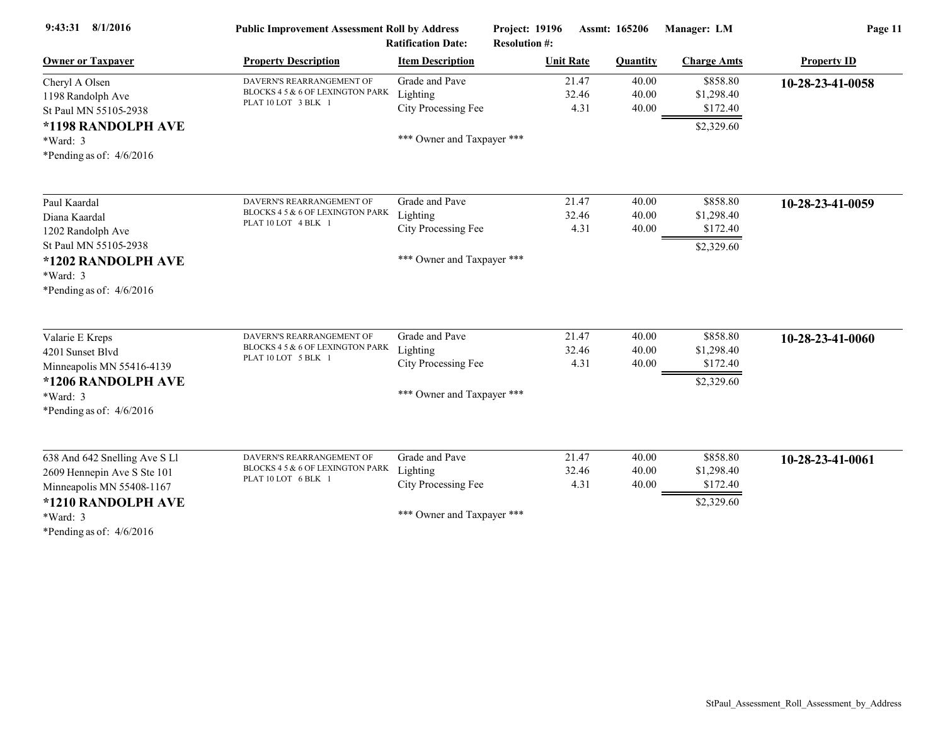| $9:43:31$ $8/1/2016$          | <b>Public Improvement Assessment Roll by Address</b><br><b>Ratification Date:</b> |                            | Project: 19196<br>Assmt: 165206<br><b>Resolution #:</b> |                 | Manager: LM        | Page 11            |  |
|-------------------------------|-----------------------------------------------------------------------------------|----------------------------|---------------------------------------------------------|-----------------|--------------------|--------------------|--|
| <b>Owner or Taxpayer</b>      | <b>Property Description</b>                                                       | <b>Item Description</b>    | <b>Unit Rate</b>                                        | <b>Quantity</b> | <b>Charge Amts</b> | <b>Property ID</b> |  |
| Cheryl A Olsen                | DAVERN'S REARRANGEMENT OF                                                         | Grade and Pave             | 21.47                                                   | 40.00           | \$858.80           | 10-28-23-41-0058   |  |
| 1198 Randolph Ave             | BLOCKS 4 5 & 6 OF LEXINGTON PARK                                                  | Lighting                   | 32.46                                                   | 40.00           | \$1,298.40         |                    |  |
| St Paul MN 55105-2938         | PLAT 10 LOT 3 BLK 1                                                               | City Processing Fee        | 4.31                                                    | 40.00           | \$172.40           |                    |  |
| *1198 RANDOLPH AVE            |                                                                                   |                            |                                                         |                 | \$2,329.60         |                    |  |
| *Ward: 3                      |                                                                                   | *** Owner and Taxpayer *** |                                                         |                 |                    |                    |  |
| *Pending as of: $4/6/2016$    |                                                                                   |                            |                                                         |                 |                    |                    |  |
| Paul Kaardal                  | DAVERN'S REARRANGEMENT OF                                                         | Grade and Pave             | 21.47                                                   | 40.00           | \$858.80           | 10-28-23-41-0059   |  |
| Diana Kaardal                 | BLOCKS 4 5 & 6 OF LEXINGTON PARK                                                  | Lighting                   | 32.46                                                   | 40.00           | \$1,298.40         |                    |  |
| 1202 Randolph Ave             | PLAT 10 LOT 4 BLK 1                                                               | City Processing Fee        | 4.31                                                    | 40.00           | \$172.40           |                    |  |
| St Paul MN 55105-2938         |                                                                                   |                            |                                                         |                 | \$2,329.60         |                    |  |
| *1202 RANDOLPH AVE            |                                                                                   | *** Owner and Taxpayer *** |                                                         |                 |                    |                    |  |
| $*Ward: 3$                    |                                                                                   |                            |                                                         |                 |                    |                    |  |
| *Pending as of: $4/6/2016$    |                                                                                   |                            |                                                         |                 |                    |                    |  |
| Valarie E Kreps               | DAVERN'S REARRANGEMENT OF                                                         | Grade and Pave             | 21.47                                                   | 40.00           | \$858.80           | 10-28-23-41-0060   |  |
| 4201 Sunset Blvd              | BLOCKS 4 5 & 6 OF LEXINGTON PARK                                                  | Lighting                   | 32.46                                                   | 40.00           | \$1,298.40         |                    |  |
| Minneapolis MN 55416-4139     | PLAT 10 LOT 5 BLK 1                                                               | City Processing Fee        | 4.31                                                    | 40.00           | \$172.40           |                    |  |
| *1206 RANDOLPH AVE            |                                                                                   |                            |                                                         |                 | \$2,329.60         |                    |  |
| $*Ward: 3$                    |                                                                                   | *** Owner and Taxpayer *** |                                                         |                 |                    |                    |  |
| *Pending as of: $4/6/2016$    |                                                                                   |                            |                                                         |                 |                    |                    |  |
| 638 And 642 Snelling Ave S Ll | DAVERN'S REARRANGEMENT OF                                                         | Grade and Pave             | 21.47                                                   | 40.00           | \$858.80           | 10-28-23-41-0061   |  |
| 2609 Hennepin Ave S Ste 101   | BLOCKS 4 5 & 6 OF LEXINGTON PARK                                                  | Lighting                   | 32.46                                                   | 40.00           | \$1,298.40         |                    |  |
| Minneapolis MN 55408-1167     | PLAT 10 LOT 6 BLK 1                                                               | City Processing Fee        | 4.31                                                    | 40.00           | \$172.40           |                    |  |
| *1210 RANDOLPH AVE            |                                                                                   |                            |                                                         |                 | \$2,329.60         |                    |  |
| *Ward: 3                      |                                                                                   | *** Owner and Taxpayer *** |                                                         |                 |                    |                    |  |
| *Pending as of: $4/6/2016$    |                                                                                   |                            |                                                         |                 |                    |                    |  |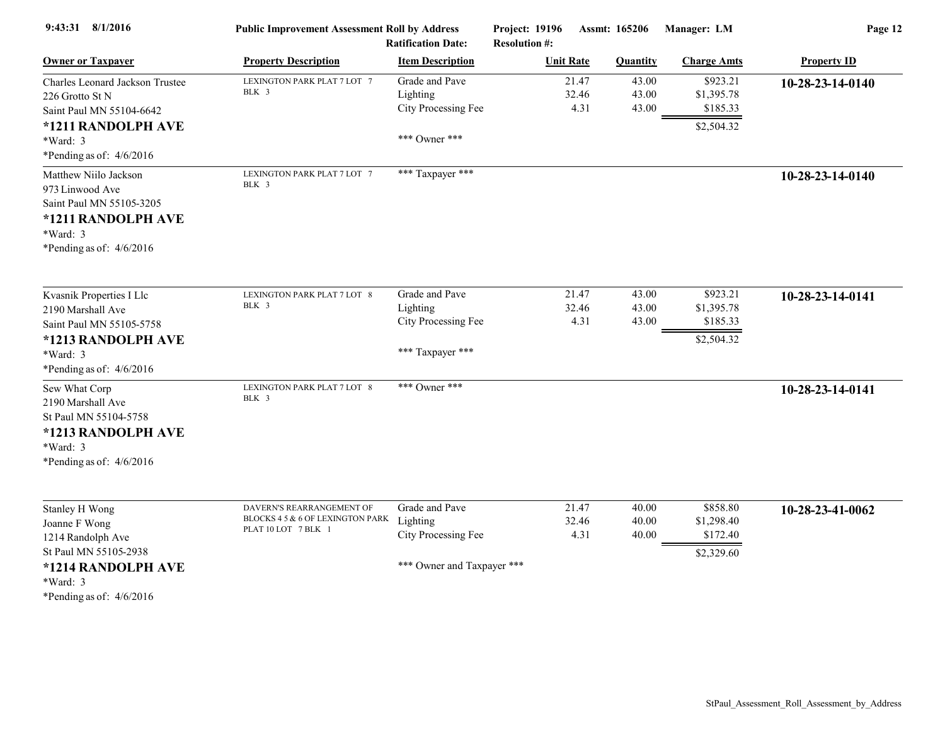| 9:43:31 8/1/2016                                                                                                                               | <b>Public Improvement Assessment Roll by Address</b>                                 | <b>Ratification Date:</b>                                                       | Project: 19196<br><b>Resolution #:</b> | Assmt: 165206           | Manager: LM                                      | Page 12            |
|------------------------------------------------------------------------------------------------------------------------------------------------|--------------------------------------------------------------------------------------|---------------------------------------------------------------------------------|----------------------------------------|-------------------------|--------------------------------------------------|--------------------|
| <b>Owner or Taxpayer</b>                                                                                                                       | <b>Property Description</b>                                                          | <b>Item Description</b>                                                         | <b>Unit Rate</b>                       | <b>Quantity</b>         | <b>Charge Amts</b>                               | <b>Property ID</b> |
| Charles Leonard Jackson Trustee<br>226 Grotto St N<br>Saint Paul MN 55104-6642<br>*1211 RANDOLPH AVE<br>*Ward: 3<br>*Pending as of: $4/6/2016$ | LEXINGTON PARK PLAT 7 LOT 7<br>BLK 3                                                 | Grade and Pave<br>Lighting<br>City Processing Fee<br>*** Owner ***              | 21.47<br>32.46<br>4.31                 | 43.00<br>43.00<br>43.00 | \$923.21<br>\$1,395.78<br>\$185.33<br>\$2,504.32 | 10-28-23-14-0140   |
| Matthew Niilo Jackson<br>973 Linwood Ave<br>Saint Paul MN 55105-3205<br>*1211 RANDOLPH AVE<br>*Ward: 3<br>*Pending as of: $4/6/2016$           | LEXINGTON PARK PLAT 7 LOT 7<br>BLK 3                                                 | *** Taxpayer ***                                                                |                                        |                         |                                                  | 10-28-23-14-0140   |
| Kvasnik Properties I Llc<br>2190 Marshall Ave<br>Saint Paul MN 55105-5758<br>*1213 RANDOLPH AVE<br>*Ward: 3<br>*Pending as of: $4/6/2016$      | LEXINGTON PARK PLAT 7 LOT 8<br>BLK 3                                                 | Grade and Pave<br>Lighting<br>City Processing Fee<br>*** Taxpayer ***           | 21.47<br>32.46<br>4.31                 | 43.00<br>43.00<br>43.00 | \$923.21<br>\$1,395.78<br>\$185.33<br>\$2,504.32 | 10-28-23-14-0141   |
| Sew What Corp<br>2190 Marshall Ave<br>St Paul MN 55104-5758<br>*1213 RANDOLPH AVE<br>*Ward: 3<br>*Pending as of: $4/6/2016$                    | LEXINGTON PARK PLAT 7 LOT 8<br>BLK 3                                                 | *** Owner ***                                                                   |                                        |                         |                                                  | 10-28-23-14-0141   |
| Stanley H Wong<br>Joanne F Wong<br>1214 Randolph Ave<br>St Paul MN 55105-2938<br>*1214 RANDOLPH AVE                                            | DAVERN'S REARRANGEMENT OF<br>BLOCKS 4 5 & 6 OF LEXINGTON PARK<br>PLAT 10 LOT 7 BLK 1 | Grade and Pave<br>Lighting<br>City Processing Fee<br>*** Owner and Taxpayer *** | 21.47<br>32.46<br>4.31                 | 40.00<br>40.00<br>40.00 | \$858.80<br>\$1,298.40<br>\$172.40<br>\$2,329.60 | 10-28-23-41-0062   |

\*Ward: 3

\*Pending as of: 4/6/2016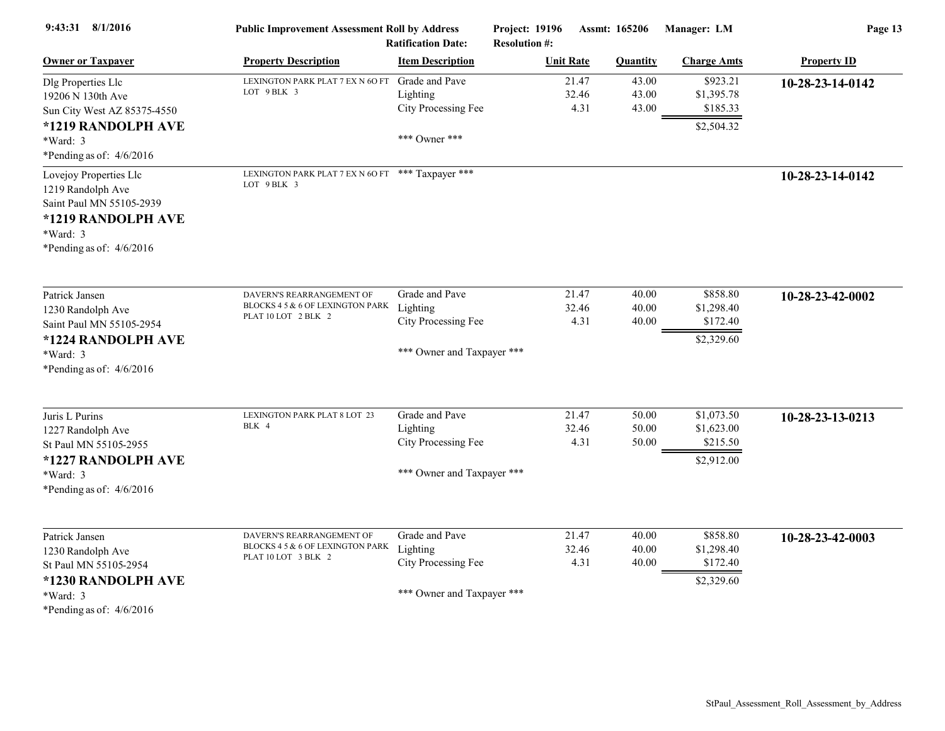| 9:43:31 8/1/2016                                                                                                                        | <b>Public Improvement Assessment Roll by Address</b><br><b>Ratification Date:</b>    |                                                                                 | Project: 19196<br>Assmt: 165206<br><b>Resolution #:</b> |                         | Manager: LM                                        | Page 13            |  |
|-----------------------------------------------------------------------------------------------------------------------------------------|--------------------------------------------------------------------------------------|---------------------------------------------------------------------------------|---------------------------------------------------------|-------------------------|----------------------------------------------------|--------------------|--|
| <b>Owner or Taxpayer</b>                                                                                                                | <b>Property Description</b>                                                          | <b>Item Description</b>                                                         | <b>Unit Rate</b>                                        | <b>Quantity</b>         | <b>Charge Amts</b>                                 | <b>Property ID</b> |  |
| Dlg Properties Llc<br>19206 N 130th Ave<br>Sun City West AZ 85375-4550                                                                  | LEXINGTON PARK PLAT 7 EX N 60 FT<br>LOT 9 BLK 3                                      | Grade and Pave<br>Lighting<br>City Processing Fee                               | 21.47<br>32.46<br>4.31                                  | 43.00<br>43.00<br>43.00 | \$923.21<br>\$1,395.78<br>\$185.33                 | 10-28-23-14-0142   |  |
| *1219 RANDOLPH AVE<br>*Ward: 3<br>*Pending as of: $4/6/2016$                                                                            |                                                                                      | *** Owner ***                                                                   |                                                         |                         | \$2,504.32                                         |                    |  |
| Lovejoy Properties Llc<br>1219 Randolph Ave<br>Saint Paul MN 55105-2939<br>*1219 RANDOLPH AVE<br>*Ward: 3<br>*Pending as of: $4/6/2016$ | LEXINGTON PARK PLAT 7 EX N 60 FT *** Taxpayer ***<br>LOT 9 BLK 3                     |                                                                                 |                                                         |                         |                                                    | 10-28-23-14-0142   |  |
| Patrick Jansen<br>1230 Randolph Ave<br>Saint Paul MN 55105-2954<br>*1224 RANDOLPH AVE<br>*Ward: 3<br>*Pending as of: $4/6/2016$         | DAVERN'S REARRANGEMENT OF<br>BLOCKS 4 5 & 6 OF LEXINGTON PARK<br>PLAT 10 LOT 2 BLK 2 | Grade and Pave<br>Lighting<br>City Processing Fee<br>*** Owner and Taxpayer *** | 21.47<br>32.46<br>4.31                                  | 40.00<br>40.00<br>40.00 | \$858.80<br>\$1,298.40<br>\$172.40<br>\$2,329.60   | 10-28-23-42-0002   |  |
| Juris L Purins<br>1227 Randolph Ave<br>St Paul MN 55105-2955<br>*1227 RANDOLPH AVE<br>*Ward: 3<br>*Pending as of: $4/6/2016$            | LEXINGTON PARK PLAT 8 LOT 23<br>BLK 4                                                | Grade and Pave<br>Lighting<br>City Processing Fee<br>*** Owner and Taxpayer *** | 21.47<br>32.46<br>4.31                                  | 50.00<br>50.00<br>50.00 | \$1,073.50<br>\$1,623.00<br>\$215.50<br>\$2,912.00 | 10-28-23-13-0213   |  |
| Patrick Jansen<br>1230 Randolph Ave<br>St Paul MN 55105-2954<br>*1230 RANDOLPH AVE<br>*Ward: 3<br>*Pending as of: $4/6/2016$            | DAVERN'S REARRANGEMENT OF<br>BLOCKS 4 5 & 6 OF LEXINGTON PARK<br>PLAT 10 LOT 3 BLK 2 | Grade and Pave<br>Lighting<br>City Processing Fee<br>*** Owner and Taxpayer *** | 21.47<br>32.46<br>4.31                                  | 40.00<br>40.00<br>40.00 | \$858.80<br>\$1,298.40<br>\$172.40<br>\$2,329.60   | 10-28-23-42-0003   |  |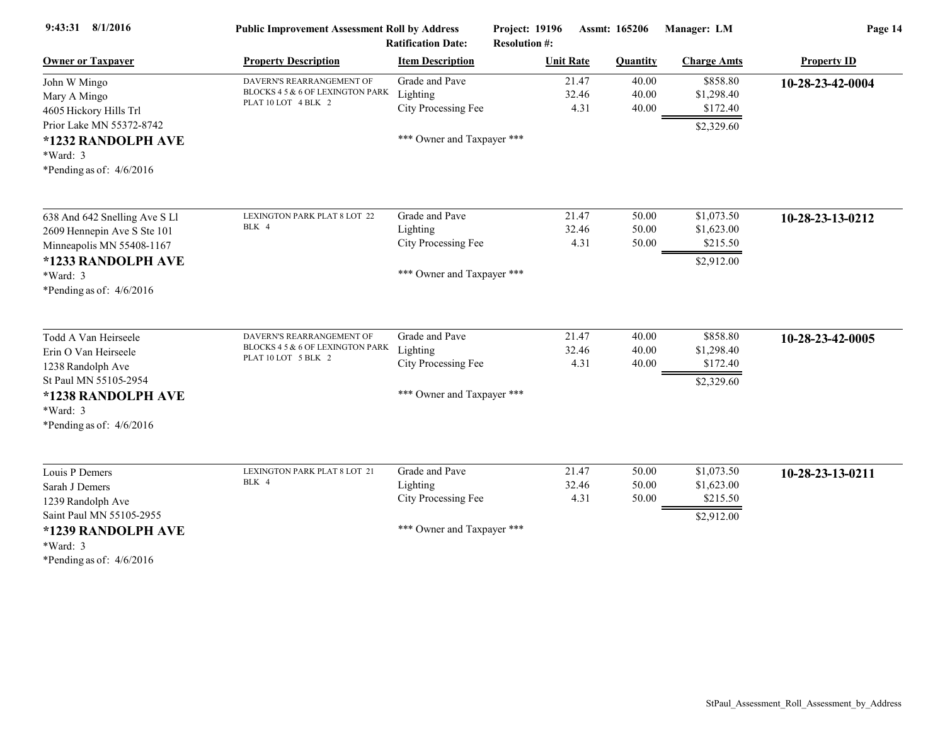| 9:43:31 8/1/2016                                             | <b>Public Improvement Assessment Roll by Address</b><br><b>Ratification Date:</b> |                            | Project: 19196<br>Assmt: 165206<br><b>Resolution #:</b> |                 | Manager: LM        | Page 14            |  |
|--------------------------------------------------------------|-----------------------------------------------------------------------------------|----------------------------|---------------------------------------------------------|-----------------|--------------------|--------------------|--|
| <b>Owner or Taxpayer</b>                                     | <b>Property Description</b>                                                       | <b>Item Description</b>    | <b>Unit Rate</b>                                        | <b>Quantity</b> | <b>Charge Amts</b> | <b>Property ID</b> |  |
| John W Mingo                                                 | DAVERN'S REARRANGEMENT OF                                                         | Grade and Pave             | 21.47                                                   | 40.00           | \$858.80           | 10-28-23-42-0004   |  |
| Mary A Mingo                                                 | BLOCKS 4 5 & 6 OF LEXINGTON PARK<br>PLAT 10 LOT 4 BLK 2                           | Lighting                   | 32.46                                                   | 40.00           | \$1,298.40         |                    |  |
| 4605 Hickory Hills Trl                                       |                                                                                   | City Processing Fee        | 4.31                                                    | 40.00           | \$172.40           |                    |  |
| Prior Lake MN 55372-8742                                     |                                                                                   |                            |                                                         |                 | \$2,329.60         |                    |  |
| *1232 RANDOLPH AVE                                           |                                                                                   | *** Owner and Taxpayer *** |                                                         |                 |                    |                    |  |
| *Ward: 3                                                     |                                                                                   |                            |                                                         |                 |                    |                    |  |
| *Pending as of: $4/6/2016$                                   |                                                                                   |                            |                                                         |                 |                    |                    |  |
| 638 And 642 Snelling Ave S Ll                                | LEXINGTON PARK PLAT 8 LOT 22                                                      | Grade and Pave             | 21.47                                                   | 50.00           | \$1,073.50         | 10-28-23-13-0212   |  |
| 2609 Hennepin Ave S Ste 101                                  | BLK 4                                                                             | Lighting                   | 32.46                                                   | 50.00           | \$1,623.00         |                    |  |
| Minneapolis MN 55408-1167                                    |                                                                                   | City Processing Fee        | 4.31                                                    | 50.00           | \$215.50           |                    |  |
| *1233 RANDOLPH AVE                                           |                                                                                   |                            |                                                         |                 | \$2,912.00         |                    |  |
| *Ward: 3                                                     |                                                                                   | *** Owner and Taxpayer *** |                                                         |                 |                    |                    |  |
| *Pending as of: $4/6/2016$                                   |                                                                                   |                            |                                                         |                 |                    |                    |  |
|                                                              |                                                                                   |                            |                                                         |                 |                    |                    |  |
| Todd A Van Heirseele                                         | DAVERN'S REARRANGEMENT OF                                                         | Grade and Pave             | 21.47                                                   | 40.00           | \$858.80           | 10-28-23-42-0005   |  |
| Erin O Van Heirseele                                         | BLOCKS 4 5 & 6 OF LEXINGTON PARK                                                  | Lighting                   | 32.46                                                   | 40.00           | \$1,298.40         |                    |  |
| 1238 Randolph Ave                                            | PLAT 10 LOT 5 BLK 2                                                               | City Processing Fee        | 4.31                                                    | 40.00           | \$172.40           |                    |  |
| St Paul MN 55105-2954                                        |                                                                                   |                            |                                                         |                 | \$2,329.60         |                    |  |
| *1238 RANDOLPH AVE                                           |                                                                                   | *** Owner and Taxpayer *** |                                                         |                 |                    |                    |  |
| *Ward: 3                                                     |                                                                                   |                            |                                                         |                 |                    |                    |  |
| *Pending as of: $4/6/2016$                                   |                                                                                   |                            |                                                         |                 |                    |                    |  |
| Louis P Demers                                               | LEXINGTON PARK PLAT 8 LOT 21                                                      | Grade and Pave             | 21.47                                                   | 50.00           | \$1,073.50         | 10-28-23-13-0211   |  |
| Sarah J Demers                                               | BLK 4                                                                             | Lighting                   | 32.46                                                   | 50.00           | \$1,623.00         |                    |  |
| 1239 Randolph Ave                                            |                                                                                   | City Processing Fee        | 4.31                                                    | 50.00           | \$215.50           |                    |  |
| Saint Paul MN 55105-2955                                     |                                                                                   |                            |                                                         |                 | \$2,912.00         |                    |  |
| *1239 RANDOLPH AVE<br>*Ward: 3<br>*Pending as of: $4/6/2016$ |                                                                                   | *** Owner and Taxpayer *** |                                                         |                 |                    |                    |  |
|                                                              |                                                                                   |                            |                                                         |                 |                    |                    |  |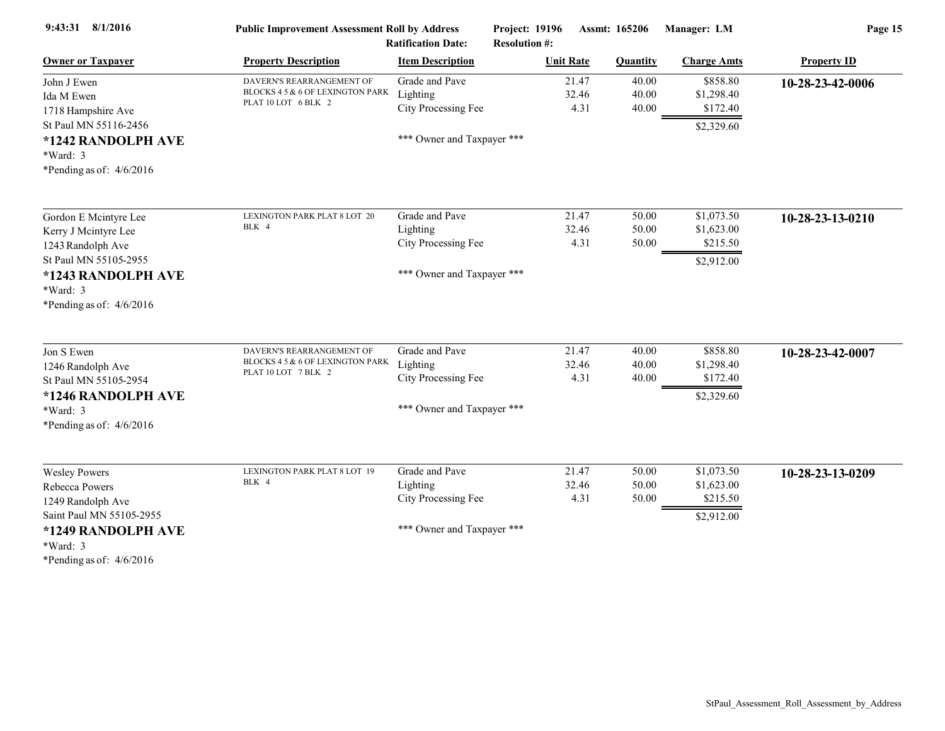| 9:43:31 8/1/2016                                             | <b>Public Improvement Assessment Roll by Address</b><br><b>Ratification Date:</b> |                            | Project: 19196<br>Assmt: 165206<br><b>Resolution #:</b> |       |          | Manager: LM        | Page 15            |  |
|--------------------------------------------------------------|-----------------------------------------------------------------------------------|----------------------------|---------------------------------------------------------|-------|----------|--------------------|--------------------|--|
| <b>Owner or Taxpayer</b>                                     | <b>Property Description</b>                                                       | <b>Item Description</b>    | <b>Unit Rate</b>                                        |       | Quantity | <b>Charge Amts</b> | <b>Property ID</b> |  |
| John J Ewen                                                  | DAVERN'S REARRANGEMENT OF                                                         | Grade and Pave             |                                                         | 21.47 | 40.00    | \$858.80           | 10-28-23-42-0006   |  |
| Ida M Ewen                                                   | BLOCKS 4 5 & 6 OF LEXINGTON PARK<br>PLAT 10 LOT 6 BLK 2                           | Lighting                   |                                                         | 32.46 | 40.00    | \$1,298.40         |                    |  |
| 1718 Hampshire Ave                                           |                                                                                   | City Processing Fee        |                                                         | 4.31  | 40.00    | \$172.40           |                    |  |
| St Paul MN 55116-2456                                        |                                                                                   |                            |                                                         |       |          | \$2,329.60         |                    |  |
| *1242 RANDOLPH AVE                                           |                                                                                   | *** Owner and Taxpayer *** |                                                         |       |          |                    |                    |  |
| *Ward: 3                                                     |                                                                                   |                            |                                                         |       |          |                    |                    |  |
| *Pending as of: $4/6/2016$                                   |                                                                                   |                            |                                                         |       |          |                    |                    |  |
| Gordon E Mcintyre Lee                                        | LEXINGTON PARK PLAT 8 LOT 20                                                      | Grade and Pave             |                                                         | 21.47 | 50.00    | \$1,073.50         | 10-28-23-13-0210   |  |
| Kerry J Mcintyre Lee                                         | BLK 4                                                                             | Lighting                   |                                                         | 32.46 | 50.00    | \$1,623.00         |                    |  |
| 1243 Randolph Ave                                            |                                                                                   | City Processing Fee        |                                                         | 4.31  | 50.00    | \$215.50           |                    |  |
| St Paul MN 55105-2955                                        |                                                                                   |                            |                                                         |       |          | \$2,912.00         |                    |  |
| *1243 RANDOLPH AVE                                           |                                                                                   | *** Owner and Taxpayer *** |                                                         |       |          |                    |                    |  |
| *Ward: 3                                                     |                                                                                   |                            |                                                         |       |          |                    |                    |  |
|                                                              |                                                                                   |                            |                                                         |       |          |                    |                    |  |
| *Pending as of: $4/6/2016$                                   |                                                                                   |                            |                                                         |       |          |                    |                    |  |
| Jon S Ewen                                                   | DAVERN'S REARRANGEMENT OF                                                         | Grade and Pave             |                                                         | 21.47 | 40.00    | \$858.80           | 10-28-23-42-0007   |  |
| 1246 Randolph Ave                                            | BLOCKS 4 5 & 6 OF LEXINGTON PARK                                                  | Lighting                   |                                                         | 32.46 | 40.00    | \$1,298.40         |                    |  |
| St Paul MN 55105-2954                                        | PLAT 10 LOT 7 BLK 2                                                               | City Processing Fee        |                                                         | 4.31  | 40.00    | \$172.40           |                    |  |
| *1246 RANDOLPH AVE                                           |                                                                                   |                            |                                                         |       |          | \$2,329.60         |                    |  |
| *Ward: 3                                                     |                                                                                   | *** Owner and Taxpayer *** |                                                         |       |          |                    |                    |  |
| *Pending as of: $4/6/2016$                                   |                                                                                   |                            |                                                         |       |          |                    |                    |  |
| <b>Wesley Powers</b>                                         | LEXINGTON PARK PLAT 8 LOT 19                                                      | Grade and Pave             |                                                         | 21.47 | 50.00    | \$1,073.50         | 10-28-23-13-0209   |  |
| Rebecca Powers                                               | BLK 4                                                                             | Lighting                   |                                                         | 32.46 | 50.00    | \$1,623.00         |                    |  |
| 1249 Randolph Ave                                            |                                                                                   | City Processing Fee        |                                                         | 4.31  | 50.00    | \$215.50           |                    |  |
| Saint Paul MN 55105-2955                                     |                                                                                   |                            |                                                         |       |          | \$2,912.00         |                    |  |
| *1249 RANDOLPH AVE<br>*Ward: 3<br>*Pending as of: $4/6/2016$ |                                                                                   | *** Owner and Taxpayer *** |                                                         |       |          |                    |                    |  |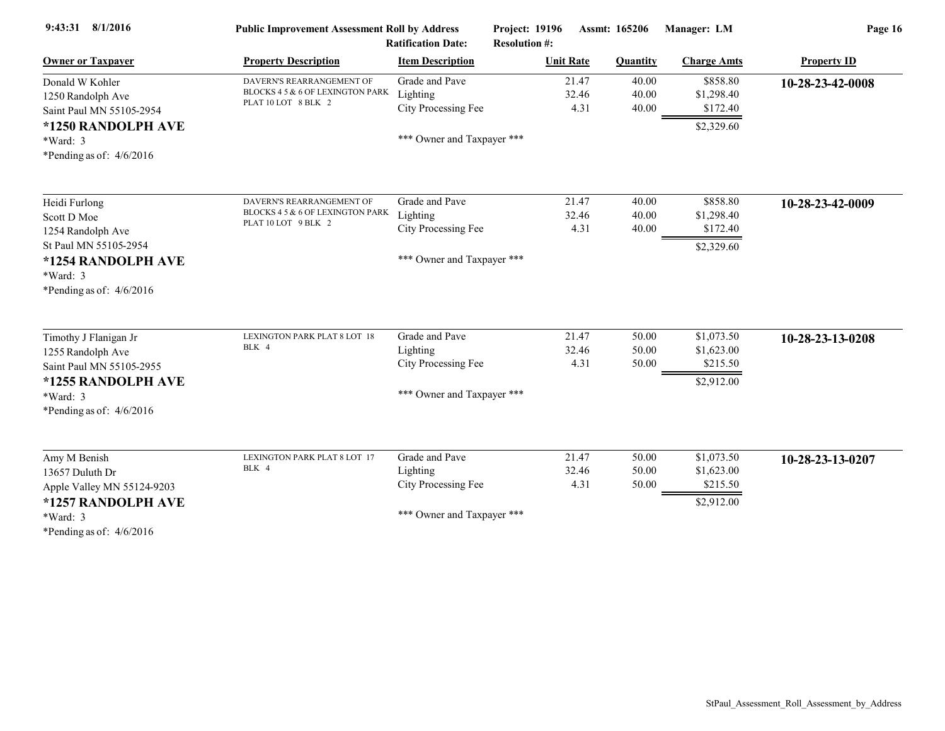| <b>Owner or Taxpayer</b><br><b>Property Description</b><br><b>Item Description</b><br><b>Unit Rate</b><br><b>Quantity</b><br><b>Charge Amts</b><br>\$858.80<br>Grade and Pave<br>21.47<br>40.00<br>DAVERN'S REARRANGEMENT OF<br>Donald W Kohler<br>BLOCKS 4 5 & 6 OF LEXINGTON PARK<br>Lighting<br>32.46<br>40.00<br>\$1,298.40<br>1250 Randolph Ave<br>PLAT 10 LOT 8 BLK 2<br>City Processing Fee<br>4.31<br>40.00<br>\$172.40<br>Saint Paul MN 55105-2954<br>\$2,329.60<br>*1250 RANDOLPH AVE<br>*** Owner and Taxpayer ***<br>$*Ward: 3$ | <b>Property ID</b><br>10-28-23-42-0008 |
|---------------------------------------------------------------------------------------------------------------------------------------------------------------------------------------------------------------------------------------------------------------------------------------------------------------------------------------------------------------------------------------------------------------------------------------------------------------------------------------------------------------------------------------------|----------------------------------------|
|                                                                                                                                                                                                                                                                                                                                                                                                                                                                                                                                             |                                        |
|                                                                                                                                                                                                                                                                                                                                                                                                                                                                                                                                             |                                        |
|                                                                                                                                                                                                                                                                                                                                                                                                                                                                                                                                             |                                        |
|                                                                                                                                                                                                                                                                                                                                                                                                                                                                                                                                             |                                        |
|                                                                                                                                                                                                                                                                                                                                                                                                                                                                                                                                             |                                        |
|                                                                                                                                                                                                                                                                                                                                                                                                                                                                                                                                             |                                        |
| *Pending as of: $4/6/2016$                                                                                                                                                                                                                                                                                                                                                                                                                                                                                                                  |                                        |
| Grade and Pave<br>\$858.80<br>21.47<br>40.00<br>DAVERN'S REARRANGEMENT OF<br>Heidi Furlong                                                                                                                                                                                                                                                                                                                                                                                                                                                  | 10-28-23-42-0009                       |
| BLOCKS 4 5 & 6 OF LEXINGTON PARK<br>Lighting<br>32.46<br>40.00<br>\$1,298.40<br>Scott D Moe                                                                                                                                                                                                                                                                                                                                                                                                                                                 |                                        |
| PLAT 10 LOT 9 BLK 2<br>City Processing Fee<br>4.31<br>40.00<br>\$172.40<br>1254 Randolph Ave                                                                                                                                                                                                                                                                                                                                                                                                                                                |                                        |
| St Paul MN 55105-2954<br>\$2,329.60                                                                                                                                                                                                                                                                                                                                                                                                                                                                                                         |                                        |
| *** Owner and Taxpayer ***<br>*1254 RANDOLPH AVE                                                                                                                                                                                                                                                                                                                                                                                                                                                                                            |                                        |
| *Ward: 3                                                                                                                                                                                                                                                                                                                                                                                                                                                                                                                                    |                                        |
| *Pending as of: $4/6/2016$                                                                                                                                                                                                                                                                                                                                                                                                                                                                                                                  |                                        |
| Grade and Pave<br>\$1,073.50<br>21.47<br>50.00<br>LEXINGTON PARK PLAT 8 LOT 18<br>Timothy J Flanigan Jr                                                                                                                                                                                                                                                                                                                                                                                                                                     | 10-28-23-13-0208                       |
| BLK 4<br>32.46<br>50.00<br>Lighting<br>\$1,623.00<br>1255 Randolph Ave                                                                                                                                                                                                                                                                                                                                                                                                                                                                      |                                        |
| City Processing Fee<br>50.00<br>\$215.50<br>4.31<br>Saint Paul MN 55105-2955                                                                                                                                                                                                                                                                                                                                                                                                                                                                |                                        |
| *1255 RANDOLPH AVE<br>\$2,912.00                                                                                                                                                                                                                                                                                                                                                                                                                                                                                                            |                                        |
| *** Owner and Taxpayer ***<br>*Ward: 3                                                                                                                                                                                                                                                                                                                                                                                                                                                                                                      |                                        |
| *Pending as of: $4/6/2016$                                                                                                                                                                                                                                                                                                                                                                                                                                                                                                                  |                                        |
| Grade and Pave<br>21.47<br>\$1,073.50<br>50.00<br>Amy M Benish<br>LEXINGTON PARK PLAT 8 LOT 17                                                                                                                                                                                                                                                                                                                                                                                                                                              | 10-28-23-13-0207                       |
| BLK 4<br>Lighting<br>32.46<br>50.00<br>\$1,623.00<br>13657 Duluth Dr                                                                                                                                                                                                                                                                                                                                                                                                                                                                        |                                        |
| City Processing Fee<br>4.31<br>50.00<br>\$215.50<br>Apple Valley MN 55124-9203                                                                                                                                                                                                                                                                                                                                                                                                                                                              |                                        |
| *1257 RANDOLPH AVE<br>\$2,912.00                                                                                                                                                                                                                                                                                                                                                                                                                                                                                                            |                                        |
| *** Owner and Taxpayer ***<br>*Ward: 3                                                                                                                                                                                                                                                                                                                                                                                                                                                                                                      |                                        |
| *Pending as of: $4/6/2016$                                                                                                                                                                                                                                                                                                                                                                                                                                                                                                                  |                                        |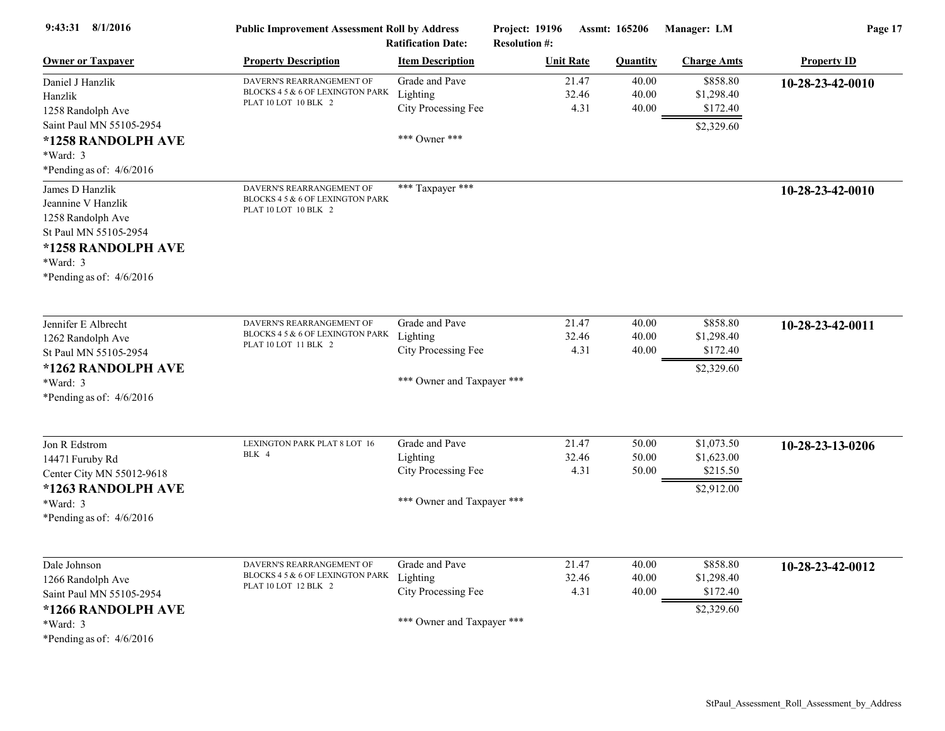| 9:43:31 8/1/2016                                                                                                                                  | <b>Public Improvement Assessment Roll by Address</b>                                  | <b>Ratification Date:</b>                                                       | <b>Project: 19196</b><br><b>Resolution #:</b> |                        | <b>Assmt: 165206</b>    | Manager: LM                                        | Page 17            |
|---------------------------------------------------------------------------------------------------------------------------------------------------|---------------------------------------------------------------------------------------|---------------------------------------------------------------------------------|-----------------------------------------------|------------------------|-------------------------|----------------------------------------------------|--------------------|
| <b>Owner or Taxpayer</b>                                                                                                                          | <b>Property Description</b>                                                           | <b>Item Description</b>                                                         |                                               | <b>Unit Rate</b>       | <b>Quantity</b>         | <b>Charge Amts</b>                                 | <b>Property ID</b> |
| Daniel J Hanzlik<br>Hanzlik<br>1258 Randolph Ave<br>Saint Paul MN 55105-2954                                                                      | DAVERN'S REARRANGEMENT OF<br>BLOCKS 4 5 & 6 OF LEXINGTON PARK<br>PLAT 10 LOT 10 BLK 2 | Grade and Pave<br>Lighting<br>City Processing Fee                               |                                               | 21.47<br>32.46<br>4.31 | 40.00<br>40.00<br>40.00 | \$858.80<br>\$1,298.40<br>\$172.40<br>\$2,329.60   | 10-28-23-42-0010   |
| *1258 RANDOLPH AVE<br>*Ward: 3<br>*Pending as of: $4/6/2016$                                                                                      |                                                                                       | *** Owner ***                                                                   |                                               |                        |                         |                                                    |                    |
| James D Hanzlik<br>Jeannine V Hanzlik<br>1258 Randolph Ave<br>St Paul MN 55105-2954<br>*1258 RANDOLPH AVE<br>*Ward: 3<br>*Pending as of: 4/6/2016 | DAVERN'S REARRANGEMENT OF<br>BLOCKS 4 5 & 6 OF LEXINGTON PARK<br>PLAT 10 LOT 10 BLK 2 | *** Taxpayer ***                                                                |                                               |                        |                         |                                                    | 10-28-23-42-0010   |
| Jennifer E Albrecht<br>1262 Randolph Ave<br>St Paul MN 55105-2954<br>*1262 RANDOLPH AVE<br>*Ward: 3<br>*Pending as of: $4/6/2016$                 | DAVERN'S REARRANGEMENT OF<br>BLOCKS 4 5 & 6 OF LEXINGTON PARK<br>PLAT 10 LOT 11 BLK 2 | Grade and Pave<br>Lighting<br>City Processing Fee<br>*** Owner and Taxpayer *** |                                               | 21.47<br>32.46<br>4.31 | 40.00<br>40.00<br>40.00 | \$858.80<br>\$1,298.40<br>\$172.40<br>\$2,329.60   | 10-28-23-42-0011   |
| Jon R Edstrom<br>14471 Furuby Rd<br>Center City MN 55012-9618<br>*1263 RANDOLPH AVE<br>*Ward: 3<br>*Pending as of: $4/6/2016$                     | LEXINGTON PARK PLAT 8 LOT 16<br>BLK 4                                                 | Grade and Pave<br>Lighting<br>City Processing Fee<br>*** Owner and Taxpayer *** |                                               | 21.47<br>32.46<br>4.31 | 50.00<br>50.00<br>50.00 | \$1,073.50<br>\$1,623.00<br>\$215.50<br>\$2,912.00 | 10-28-23-13-0206   |
| Dale Johnson<br>1266 Randolph Ave<br>Saint Paul MN 55105-2954<br>*1266 RANDOLPH AVE<br>$*Ward: 3$<br>*Pending as of: $4/6/2016$                   | DAVERN'S REARRANGEMENT OF<br>BLOCKS 4 5 & 6 OF LEXINGTON PARK<br>PLAT 10 LOT 12 BLK 2 | Grade and Pave<br>Lighting<br>City Processing Fee<br>*** Owner and Taxpayer *** |                                               | 21.47<br>32.46<br>4.31 | 40.00<br>40.00<br>40.00 | \$858.80<br>\$1,298.40<br>\$172.40<br>\$2,329.60   | 10-28-23-42-0012   |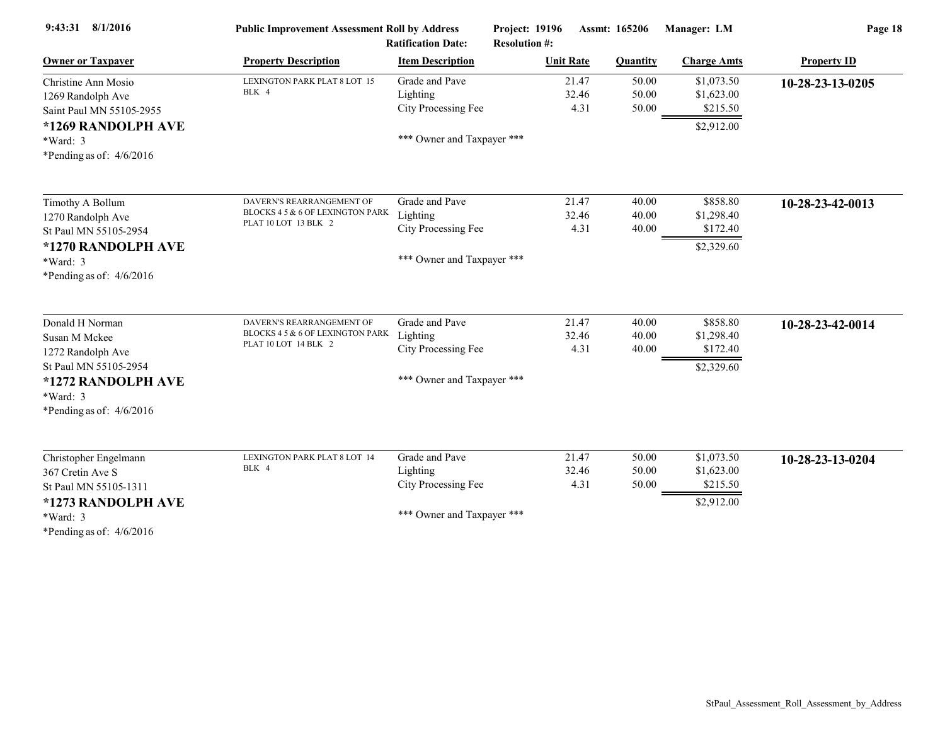| 9:43:31 8/1/2016                                                                                                                                 | <b>Public Improvement Assessment Roll by Address</b><br><b>Ratification Date:</b>     |                                                                                 | Project: 19196<br>Assmt: 165206<br><b>Resolution #:</b> |                         | Manager: LM                                        | Page 18            |  |
|--------------------------------------------------------------------------------------------------------------------------------------------------|---------------------------------------------------------------------------------------|---------------------------------------------------------------------------------|---------------------------------------------------------|-------------------------|----------------------------------------------------|--------------------|--|
| <b>Owner or Taxpayer</b>                                                                                                                         | <b>Property Description</b>                                                           | <b>Item Description</b>                                                         | <b>Unit Rate</b>                                        | <b>Quantity</b>         | <b>Charge Amts</b>                                 | <b>Property ID</b> |  |
| Christine Ann Mosio<br>1269 Randolph Ave<br>Saint Paul MN 55105-2955<br>*1269 RANDOLPH AVE<br>$*Ward: 3$<br>*Pending as of: $4/6/2016$           | LEXINGTON PARK PLAT 8 LOT 15<br>BLK 4                                                 | Grade and Pave<br>Lighting<br>City Processing Fee<br>*** Owner and Taxpayer *** | 21.47<br>32.46<br>4.31                                  | 50.00<br>50.00<br>50.00 | \$1,073.50<br>\$1,623.00<br>\$215.50<br>\$2,912.00 | 10-28-23-13-0205   |  |
| Timothy A Bollum<br>1270 Randolph Ave<br>St Paul MN 55105-2954<br>*1270 RANDOLPH AVE<br>*Ward: 3<br>*Pending as of: $4/6/2016$                   | DAVERN'S REARRANGEMENT OF<br>BLOCKS 4 5 & 6 OF LEXINGTON PARK<br>PLAT 10 LOT 13 BLK 2 | Grade and Pave<br>Lighting<br>City Processing Fee<br>*** Owner and Taxpayer *** | 21.47<br>32.46<br>4.31                                  | 40.00<br>40.00<br>40.00 | \$858.80<br>\$1,298.40<br>\$172.40<br>\$2,329.60   | 10-28-23-42-0013   |  |
| Donald H Norman<br>Susan M Mckee<br>1272 Randolph Ave<br>St Paul MN 55105-2954<br>*1272 RANDOLPH AVE<br>$*Ward: 3$<br>*Pending as of: $4/6/2016$ | DAVERN'S REARRANGEMENT OF<br>BLOCKS 4 5 & 6 OF LEXINGTON PARK<br>PLAT 10 LOT 14 BLK 2 | Grade and Pave<br>Lighting<br>City Processing Fee<br>*** Owner and Taxpayer *** | 21.47<br>32.46<br>4.31                                  | 40.00<br>40.00<br>40.00 | \$858.80<br>\$1,298.40<br>\$172.40<br>\$2,329.60   | 10-28-23-42-0014   |  |
| Christopher Engelmann<br>367 Cretin Ave S<br>St Paul MN 55105-1311<br>*1273 RANDOLPH AVE<br>*Ward: 3<br>*Pending as of: $4/6/2016$               | LEXINGTON PARK PLAT 8 LOT 14<br>BLK 4                                                 | Grade and Pave<br>Lighting<br>City Processing Fee<br>*** Owner and Taxpayer *** | 21.47<br>32.46<br>4.31                                  | 50.00<br>50.00<br>50.00 | \$1,073.50<br>\$1,623.00<br>\$215.50<br>\$2,912.00 | 10-28-23-13-0204   |  |